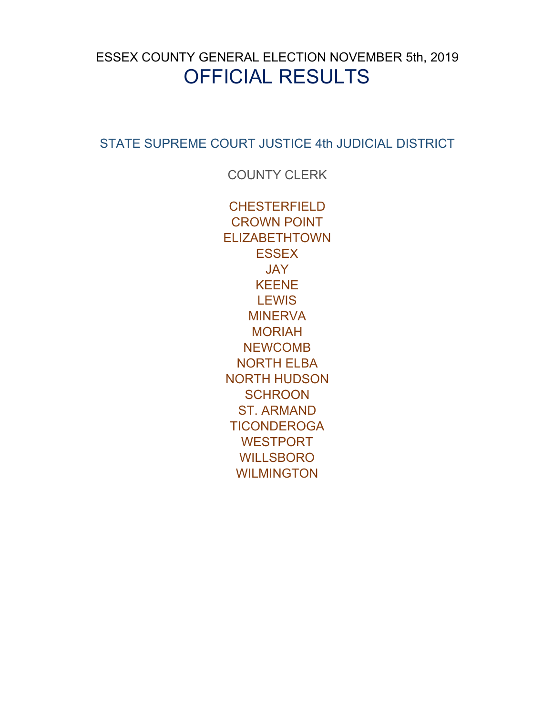# <span id="page-0-0"></span>ESSEX COUNTY GENERAL ELECTION NOVEMBER 5th, 2019 OFFICIAL RESULTS

[STATE SUPREME COURT JUSTICE 4th JUDICIAL DISTRICT](#page-1-0)

[COUNTY CLERK](#page-2-0)

[CHESTERFIELD](#page-3-0) [CROWN POINT](#page-4-0) [ELIZABETHTOWN](#page-5-0) **[ESSEX](#page-6-0)** [JAY](#page-7-0) [KEENE](#page-8-0) **[LEWIS](#page-9-0) [MINERVA](#page-10-0) [MORIAH](#page--1-0)** [NEWCOMB](#page-13-0) [NORTH ELBA](#page-14-0) [NORTH HUDSON](#page-15-0) **[SCHROON](#page-16-0)** [ST. ARMAND](#page-18-0) **[TICONDEROGA](#page-19-0)** [WESTPORT](#page-20-0) [WILLSBORO](#page-21-0) [WILMINGTON](#page-22-0)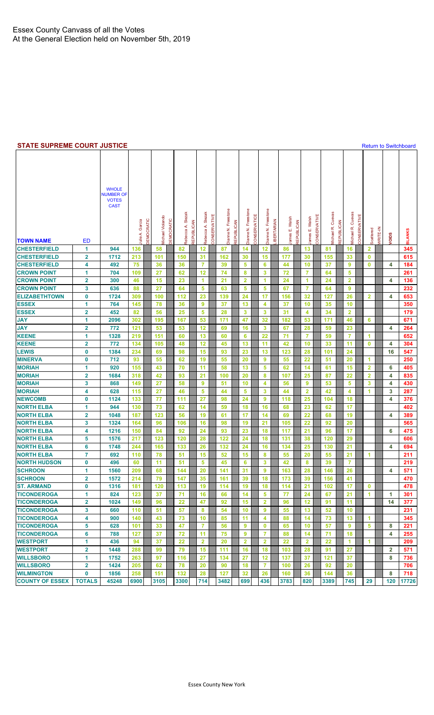#### <span id="page-1-0"></span>**STATE SUPREME COURT JUSTICE [Return to Switchboard](#page-0-0) Return to Switchboard**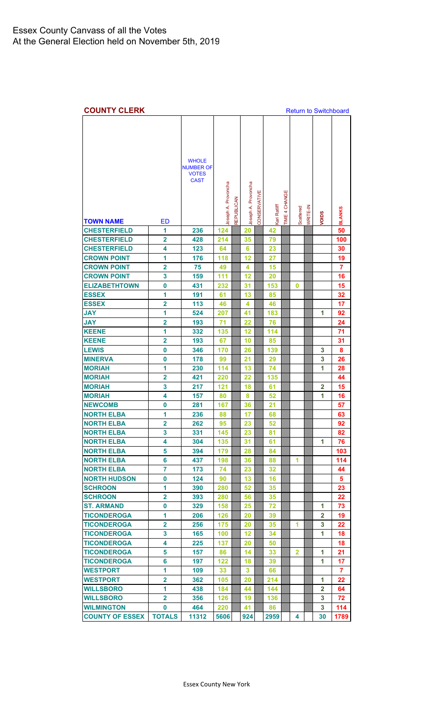<span id="page-2-0"></span>

| <b>COUNTY CLERK</b>                         |                         |                                                                 |                     |            |                     |              |              |               |              |          | <b>Return to Switchboard</b> |               |
|---------------------------------------------|-------------------------|-----------------------------------------------------------------|---------------------|------------|---------------------|--------------|--------------|---------------|--------------|----------|------------------------------|---------------|
| <b>TOWN NAME</b>                            | <b>ED</b>               | <b>WHOLE</b><br><b>NUMBER OF</b><br><b>VOTES</b><br><b>CAST</b> | Joseph A. Provoncha | REPUBLICAN | Joseph A. Provoncha | CONSERVATIVE | Kari Ratliff | TIME 4 CHANGE | Scattered    | WRITE-IN | VOIDS                        | <b>BLANKS</b> |
| <b>CHESTERFIELD</b>                         | 1                       | 236                                                             | 124                 |            | 20                  |              | 42           |               |              |          |                              | 50            |
| <b>CHESTERFIELD</b>                         | $\overline{2}$          | 428                                                             | 214                 |            | 35                  |              | 79           |               |              |          |                              | 100           |
| <b>CHESTERFIELD</b>                         | 4                       | 123                                                             | 64                  |            | 6                   |              | 23           |               |              |          |                              | 30            |
| <b>CROWN POINT</b>                          | 1                       | 176                                                             | 118                 |            | 12                  |              | 27           |               |              |          |                              | 19            |
| <b>CROWN POINT</b>                          | $\overline{\mathbf{2}}$ | 75                                                              | 49                  |            | 4                   |              | 15           |               |              |          |                              | 7             |
| <b>CROWN POINT</b>                          | 3                       | 159                                                             | 111                 |            | 12                  |              | 20           |               |              |          |                              | 16            |
| <b>ELIZABETHTOWN</b>                        | $\bf{0}$                | 431                                                             | 232                 |            | 31                  |              | 153          |               | 0            |          |                              | 15            |
| <b>ESSEX</b>                                | 1                       | 191                                                             | 61                  |            | 13                  |              | 85           |               |              |          |                              | 32            |
| <b>ESSEX</b>                                | $\overline{\mathbf{2}}$ | 113                                                             | 46                  |            | 4                   |              | 46           |               |              |          |                              | 17            |
| <b>JAY</b>                                  | 1                       | 524                                                             | 207                 |            | 41                  |              | 183          |               |              |          | 1                            | 92            |
| <b>JAY</b>                                  | $\overline{\mathbf{2}}$ | 193                                                             | 71                  |            | 22                  |              | 76           |               |              |          |                              | 24            |
| <b>KEENE</b>                                | 1                       |                                                                 |                     |            |                     |              |              |               |              |          |                              |               |
|                                             |                         | 332                                                             | 135                 |            | 12                  |              | 114          |               |              |          |                              | 71            |
| <b>KEENE</b>                                | $\overline{2}$          | 193                                                             | 67                  |            | 10                  |              | 85           |               |              |          |                              | 31            |
| <b>LEWIS</b>                                | $\bf{0}$                | 346                                                             | 170                 |            | 26                  |              | 139          |               |              |          | 3                            | 8             |
| <b>MINERVA</b>                              | 0                       | 178                                                             | 99                  |            | 21                  |              | 29           |               |              |          | 3                            | 26            |
| <b>MORIAH</b>                               | 1                       | 230                                                             | 114                 |            | 13                  |              | 74           |               |              |          | 1                            | 28            |
| <b>MORIAH</b>                               | $\overline{\mathbf{2}}$ | 421                                                             | 220                 |            | 22                  |              | 135          |               |              |          |                              | 44            |
| <b>MORIAH</b>                               | 3                       | 217                                                             | 121                 |            | 18                  |              | 61           |               |              |          | $\overline{2}$               | 15            |
| <b>MORIAH</b>                               | 4                       | 157                                                             | 80                  |            | 8                   |              | 52           |               |              |          | 1                            | 16            |
| <b>NEWCOMB</b>                              | 0                       | 281                                                             | 167                 |            | 36                  |              | 21           |               |              |          |                              | 57            |
| <b>NORTH ELBA</b>                           | 1                       | 236                                                             | 88                  |            | 17                  |              | 68           |               |              |          |                              | 63            |
| <b>NORTH ELBA</b>                           | $\overline{\mathbf{2}}$ | 262                                                             | 95                  |            | 23                  |              | 52           |               |              |          |                              | 92            |
| <b>NORTH ELBA</b>                           | 3                       | 331                                                             | 145                 |            | 23                  |              | 81           |               |              |          |                              | 82            |
| <b>NORTH ELBA</b>                           | 4                       | 304                                                             | 135                 |            | 31                  |              | 61           |               |              |          | 1                            | 76            |
| <b>NORTH ELBA</b>                           | 5                       | 394                                                             | 179                 |            | 28                  |              | 84           |               |              |          |                              | 103           |
| <b>NORTH ELBA</b>                           | 6                       | 437                                                             | 198                 |            | 36                  |              | 88           |               | 1            |          |                              | 114           |
| <b>NORTH ELBA</b>                           | $\overline{7}$          | 173                                                             | 74                  |            | 23                  |              | 32           |               |              |          |                              | 44            |
| <b>NORTH HUDSON</b>                         | $\bf{0}$                | 124                                                             | 90                  |            | 13                  |              | 16           |               |              |          |                              | 5             |
| <b>SCHROON</b>                              | 1                       | 390                                                             | 280                 |            | 52                  |              | 35           |               |              |          |                              | 23            |
| <b>SCHROON</b>                              | $\mathbf{2}$            | 393                                                             | 280                 |            | 56                  |              | 35           |               |              |          |                              | 22            |
| <b>ST. ARMAND</b>                           | 0                       | 329                                                             | 158                 |            | 25                  |              | 72           |               |              |          | 1                            | 73            |
| <b>TICONDEROGA</b>                          | 1                       | 206                                                             | 126                 |            | 20                  |              | 39           |               |              |          | $\mathbf{2}$                 | 19            |
| <b>TICONDEROGA</b>                          | $\overline{2}$          | 256                                                             | 175                 |            | 20                  |              | 35           |               | 1            |          | 3                            | 22            |
| <b>TICONDEROGA</b>                          | 3                       | 165                                                             | 100                 |            | $12 \,$             |              | 34           |               |              |          | 1                            | 18            |
| <b>TICONDEROGA</b>                          | 4                       | 225                                                             | 137                 |            | 20                  |              | 50           |               |              |          |                              | 18            |
| <b>TICONDEROGA</b>                          | 5                       | 157                                                             | 86                  |            | 14                  |              | 33           |               | $\mathbf{2}$ |          | 1                            | 21            |
| <b>TICONDEROGA</b>                          | 6                       | 197                                                             | 122                 |            | 18                  |              | 39           |               |              |          | 1                            | 17            |
| <b>WESTPORT</b>                             | 1                       | 109                                                             | 33                  |            | 3                   |              | 66           |               |              |          |                              | 7             |
| <b>WESTPORT</b>                             | $\overline{\mathbf{2}}$ | 362                                                             | 105                 |            | 20                  |              | 214          |               |              |          | 1                            | 22            |
| <b>WILLSBORO</b>                            | 1                       |                                                                 |                     |            |                     |              |              |               |              |          | $\overline{2}$               |               |
|                                             |                         | 438                                                             | 184                 |            | 44                  |              | 144          |               |              |          |                              | 64            |
| <b>WILLSBORO</b>                            | $\overline{2}$          | 356                                                             | 126                 |            | 19                  |              | 136          |               |              |          | 3<br>3                       | 72<br>114     |
| <b>WILMINGTON</b><br><b>COUNTY OF ESSEX</b> | 0<br><b>TOTALS</b>      | 464<br>11312                                                    | 220                 |            | 41<br>924           |              | 86<br>2959   |               | 4            |          | 30                           | 1789          |
|                                             |                         |                                                                 | 5606                |            |                     |              |              |               |              |          |                              |               |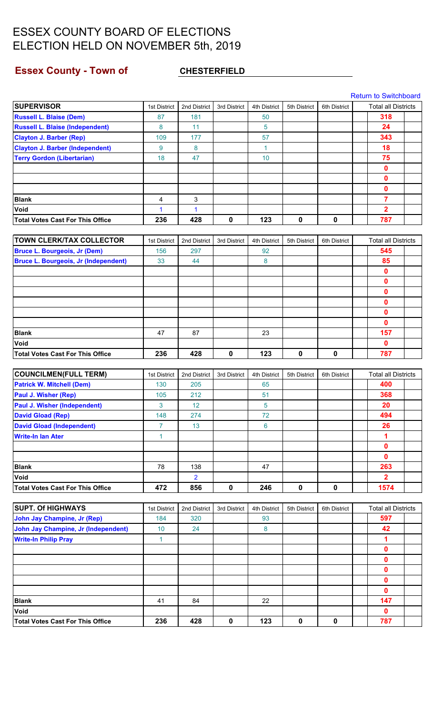### <span id="page-3-0"></span>**Essex County - Town of CHESTERFIELD**

[Return to Switchboard](#page-0-0)

| <b>SUPERVISOR</b>                           | 1st District   | 2nd District    | 3rd District | 4th District | 5th District | 6th District | <b>Total all Districts</b> |  |
|---------------------------------------------|----------------|-----------------|--------------|--------------|--------------|--------------|----------------------------|--|
| <b>Russell L. Blaise (Dem)</b>              | 87             | 181             |              | 50           |              |              | 318                        |  |
| <b>Russell L. Blaise (Independent)</b>      | 8              | 11              |              | 5            |              |              | 24                         |  |
| <b>Clayton J. Barber (Rep)</b>              | 109            | 177             |              | 57           |              |              | 343                        |  |
| <b>Clayton J. Barber (Independent)</b>      | 9              | 8               |              | $\mathbf{1}$ |              |              | 18                         |  |
| <b>Terry Gordon (Libertarian)</b>           | 18             | 47              |              | 10           |              |              | 75                         |  |
|                                             |                |                 |              |              |              |              | 0                          |  |
|                                             |                |                 |              |              |              |              | $\mathbf 0$                |  |
|                                             |                |                 |              |              |              |              | $\mathbf 0$                |  |
| <b>Blank</b>                                | 4              | 3               |              |              |              |              | 7                          |  |
| Void                                        | 1              | 1               |              |              |              |              | 2                          |  |
| <b>Total Votes Cast For This Office</b>     | 236            | 428             | $\mathbf 0$  | 123          | $\mathbf 0$  | 0            | 787                        |  |
|                                             |                |                 |              |              |              |              |                            |  |
| <b>TOWN CLERK/TAX COLLECTOR</b>             | 1st District   | 2nd District    | 3rd District | 4th District | 5th District | 6th District | <b>Total all Districts</b> |  |
| <b>Bruce L. Bourgeois, Jr (Dem)</b>         | 156            | 297             |              | 92           |              |              | 545                        |  |
| <b>Bruce L. Bourgeois, Jr (Independent)</b> | 33             | 44              |              | 8            |              |              | 85                         |  |
|                                             |                |                 |              |              |              |              | $\mathbf{0}$               |  |
|                                             |                |                 |              |              |              |              | 0                          |  |
|                                             |                |                 |              |              |              |              | 0                          |  |
|                                             |                |                 |              |              |              |              | $\mathbf 0$                |  |
|                                             |                |                 |              |              |              |              | 0                          |  |
|                                             |                |                 |              |              |              |              | $\mathbf{0}$               |  |
| <b>Blank</b>                                | 47             | 87              |              | 23           |              |              | 157                        |  |
| Void                                        |                |                 |              |              |              |              | $\mathbf{0}$               |  |
| <b>Total Votes Cast For This Office</b>     | 236            | 428             | $\pmb{0}$    | 123          | 0            | $\mathbf 0$  | 787                        |  |
|                                             |                |                 |              |              |              |              |                            |  |
| <b>COUNCILMEN(FULL TERM)</b>                | 1st District   | 2nd District    | 3rd District | 4th District | 5th District | 6th District | <b>Total all Districts</b> |  |
| <b>Patrick W. Mitchell (Dem)</b>            | 130            | 205             |              | 65           |              |              | 400                        |  |
| <b>Paul J. Wisher (Rep)</b>                 | 105            | 212             |              | 51           |              |              | 368                        |  |
| <b>Paul J. Wisher (Independent)</b>         | 3              | 12 <sub>2</sub> |              | 5            |              |              | 20                         |  |
| <b>David Gload (Rep)</b>                    | 148            | 274             |              | 72           |              |              | 494                        |  |
| <b>David Gload (Independent)</b>            | $\overline{7}$ | 13              |              | 6            |              |              | 26                         |  |
| <b>Write-In Ian Ater</b>                    | $\mathbf{1}$   |                 |              |              |              |              | 1                          |  |
|                                             |                |                 |              |              |              |              | $\mathbf 0$                |  |
|                                             |                |                 |              |              |              |              | $\mathbf 0$                |  |
| <b>Blank</b>                                | 78             | 138             |              | 47           |              |              | 263                        |  |
| Void                                        |                | 2               |              |              |              |              | $\mathbf{2}$               |  |
| <b>Total Votes Cast For This Office</b>     | 472            | 856             | $\mathbf 0$  | 246          | 0            | $\mathbf 0$  | 1574                       |  |
|                                             |                |                 |              |              |              |              |                            |  |
| <b>SUPT. Of HIGHWAYS</b>                    | 1st District   | 2nd District    | 3rd District | 4th District | 5th District | 6th District | <b>Total all Districts</b> |  |
| <b>John Jay Champine, Jr (Rep)</b>          | 184            | 320             |              | 93           |              |              | 597                        |  |
| <b>John Jay Champine, Jr (Independent)</b>  | 10             | 24              |              | 8            |              |              | 42                         |  |
| <b>Write-In Philip Pray</b>                 | $\mathbf{1}$   |                 |              |              |              |              | 1                          |  |
|                                             |                |                 |              |              |              |              | 0                          |  |
|                                             |                |                 |              |              |              |              | $\mathbf 0$                |  |
|                                             |                |                 |              |              |              |              | $\mathbf 0$                |  |
|                                             |                |                 |              |              |              |              | $\mathbf 0$                |  |
|                                             |                |                 |              |              |              |              | $\mathbf{0}$               |  |
| <b>Blank</b>                                | 41             | 84              |              | 22           |              |              | 147                        |  |
| Void                                        |                |                 |              |              |              |              | $\mathbf{0}$               |  |
| <b>Total Votes Cast For This Office</b>     | 236            | 428             | $\pmb{0}$    | 123          | 0            | $\pmb{0}$    | 787                        |  |
|                                             |                |                 |              |              |              |              |                            |  |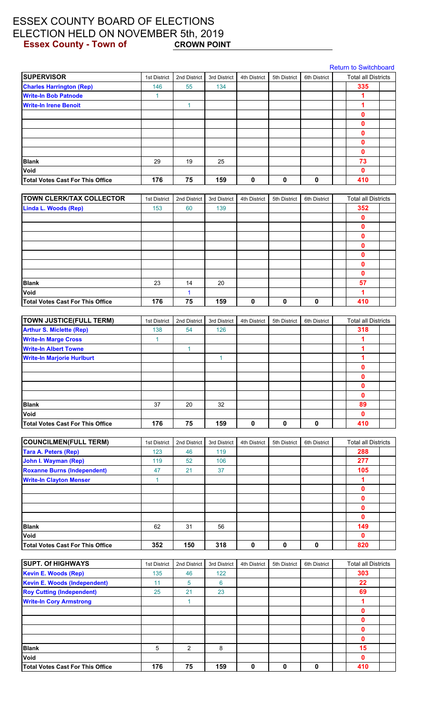### <span id="page-4-0"></span>ESSEX COUNTY BOARD OF ELECTIONS ELECTION HELD ON NOVEMBER 5th, 2019<br>Essex County - Town of CROWN POINT **Essex County - Town of**

|                                         |              |              |              |              |              |              | <b>Return to Switchboard</b> |  |
|-----------------------------------------|--------------|--------------|--------------|--------------|--------------|--------------|------------------------------|--|
| <b>SUPERVISOR</b>                       | 1st District | 2nd District | 3rd District | 4th District | 5th District | 6th District | <b>Total all Districts</b>   |  |
| <b>Charles Harrington (Rep)</b>         | 146          | 55           | 134          |              |              |              | 335                          |  |
| <b>Write-In Bob Patnode</b>             | $\mathbf{1}$ |              |              |              |              |              | 1                            |  |
| <b>Write-In Irene Benoit</b>            |              | 1            |              |              |              |              | 1                            |  |
|                                         |              |              |              |              |              |              | $\mathbf{0}$                 |  |
|                                         |              |              |              |              |              |              | 0                            |  |
|                                         |              |              |              |              |              |              | 0                            |  |
|                                         |              |              |              |              |              |              | $\mathbf 0$                  |  |
|                                         |              |              |              |              |              |              | 0                            |  |
| <b>Blank</b>                            | 29           | 19           | 25           |              |              |              | 73                           |  |
| Void                                    |              |              |              |              |              |              | $\mathbf{0}$                 |  |
| <b>Total Votes Cast For This Office</b> | 176          | 75           | 159          | 0            | 0            | 0            | 410                          |  |
|                                         |              |              |              |              |              |              |                              |  |
| <b>TOWN CLERK/TAX COLLECTOR</b>         | 1st District | 2nd District | 3rd District | 4th District | 5th District | 6th District | <b>Total all Districts</b>   |  |
| <b>Linda L. Woods (Rep)</b>             | 153          | 60           | 139          |              |              |              | 352                          |  |
|                                         |              |              |              |              |              |              | $\mathbf{0}$                 |  |
|                                         |              |              |              |              |              |              | 0                            |  |
|                                         |              |              |              |              |              |              | $\mathbf 0$                  |  |
|                                         |              |              |              |              |              |              | 0                            |  |
|                                         |              |              |              |              |              |              | $\mathbf{0}$                 |  |
|                                         |              |              |              |              |              |              | 0                            |  |
|                                         |              |              |              |              |              |              | $\bf{0}$                     |  |
| <b>Blank</b>                            | 23           | 14           | 20           |              |              |              | 57                           |  |
| Void                                    |              | 1            |              |              |              |              | 1                            |  |
| <b>Total Votes Cast For This Office</b> | 176          | 75           | 159          | $\mathbf 0$  | 0            | 0            | 410                          |  |
| <b>TOWN JUSTICE(FULL TERM)</b>          | 1st District | 2nd District | 3rd District | 4th District | 5th District | 6th District | <b>Total all Districts</b>   |  |
| <b>Arthur S. Miclette (Rep)</b>         | 138          | 54           | 126          |              |              |              | 318                          |  |
| <b>Write-In Marge Cross</b>             | $\mathbf{1}$ |              |              |              |              |              | 1                            |  |
| <b>Write-In Albert Towne</b>            |              | 1            |              |              |              |              | 1                            |  |
| <b>Write-In Marjorie Hurlburt</b>       |              |              | $\mathbf{1}$ |              |              |              | 1                            |  |
|                                         |              |              |              |              |              |              | 0                            |  |
|                                         |              |              |              |              |              |              |                              |  |
|                                         |              |              |              |              |              |              | U<br>$\mathbf 0$             |  |
|                                         |              |              |              |              |              |              | $\mathbf 0$                  |  |
| <b>Blank</b>                            | 37           | 20           | 32           |              |              |              | 89                           |  |
| Void                                    |              |              |              |              |              |              | $\mathbf 0$                  |  |
| <b>Total Votes Cast For This Office</b> | 176          | 75           | 159          | $\pmb{0}$    | $\mathbf 0$  | $\mathbf 0$  | 410                          |  |
|                                         |              |              |              |              |              |              |                              |  |
| <b>COUNCILMEN(FULL TERM)</b>            | 1st District | 2nd District | 3rd District | 4th District | 5th District | 6th District | <b>Total all Districts</b>   |  |
| <b>Tara A. Peters (Rep)</b>             | 123          | 46           | 119          |              |              |              | 288                          |  |
| John I. Wayman (Rep)                    | 119          | 52           | 106          |              |              |              | 277                          |  |
| <b>Roxanne Burns (Independent)</b>      | 47           | 21           | 37           |              |              |              | 105                          |  |
| <b>Write-In Clayton Menser</b>          | $\mathbf{1}$ |              |              |              |              |              | 1                            |  |
|                                         |              |              |              |              |              |              | $\mathbf 0$                  |  |
|                                         |              |              |              |              |              |              | $\mathbf 0$                  |  |
|                                         |              |              |              |              |              |              | $\mathbf{0}$                 |  |
|                                         |              |              |              |              |              |              | $\mathbf 0$                  |  |
| <b>Blank</b>                            | 62           | 31           | 56           |              |              |              | 149                          |  |
| Void                                    |              |              |              |              |              |              | $\mathbf 0$                  |  |
| <b>Total Votes Cast For This Office</b> | 352          | 150          | 318          | $\pmb{0}$    | $\pmb{0}$    | $\pmb{0}$    | 820                          |  |

| <b>SUPT. Of HIGHWAYS</b>                | 1st District | 2nd District | 3rd District | 4th District | 5th District | 6th District | <b>Total all Districts</b> |  |
|-----------------------------------------|--------------|--------------|--------------|--------------|--------------|--------------|----------------------------|--|
| <b>Kevin E. Woods (Rep)</b>             | 135          | 46           | 122          |              |              |              | 303                        |  |
| <b>Kevin E. Woods (Independent)</b>     | 11           | 5            | 6            |              |              |              | 22                         |  |
| <b>Roy Cutting (Independent)</b>        | 25           | 21           | 23           |              |              |              | 69                         |  |
| <b>Write-In Cory Armstrong</b>          |              |              |              |              |              |              |                            |  |
|                                         |              |              |              |              |              |              |                            |  |
|                                         |              |              |              |              |              |              | O                          |  |
|                                         |              |              |              |              |              |              | O                          |  |
|                                         |              |              |              |              |              |              | Ω                          |  |
| <b>Blank</b>                            | 5            | 2            | 8            |              |              |              | 15                         |  |
| <b>Void</b>                             |              |              |              |              |              |              | O                          |  |
| <b>Total Votes Cast For This Office</b> | 176          | 75           | 159          | 0            | 0            |              | 410                        |  |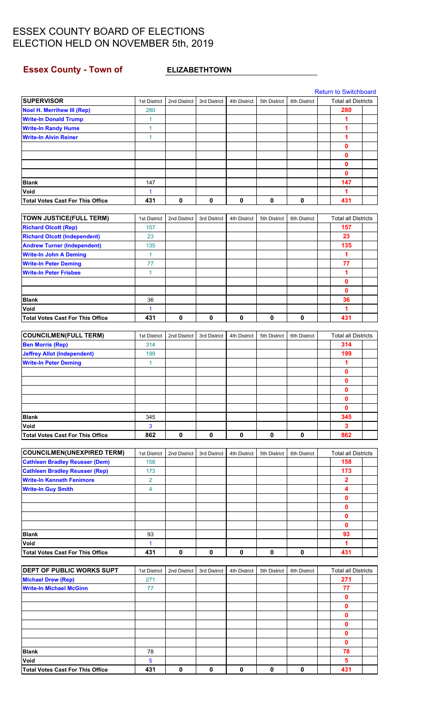### <span id="page-5-0"></span>**Essex County - Town of CONTERT ELIZABETHTOWN**

[Return to Switchboard](#page-0-0)

| <b>SUPERVISOR</b>                       | 1st District   | 2nd District | 3rd District | 4th District | 5th District | 6th District | <b>Total all Districts</b> |  |
|-----------------------------------------|----------------|--------------|--------------|--------------|--------------|--------------|----------------------------|--|
| <b>Noel H. Merrihew III (Rep)</b>       | 280            |              |              |              |              |              | 280                        |  |
| <b>Write-In Donald Trump</b>            | 1              |              |              |              |              |              | 1                          |  |
| <b>Write-In Randy Hume</b>              | 1              |              |              |              |              |              | 1                          |  |
| <b>Write-In Alvin Reiner</b>            | 1              |              |              |              |              |              | 1                          |  |
|                                         |                |              |              |              |              |              | 0                          |  |
|                                         |                |              |              |              |              |              | 0                          |  |
|                                         |                |              |              |              |              |              | 0                          |  |
|                                         |                |              |              |              |              |              | 0                          |  |
| <b>Blank</b>                            | 147            |              |              |              |              |              | 147                        |  |
| Void                                    | 1              |              |              |              |              |              | 1                          |  |
| <b>Total Votes Cast For This Office</b> | 431            | 0            | 0            | 0            | $\mathbf 0$  | $\pmb{0}$    | 431                        |  |
|                                         |                |              |              |              |              |              |                            |  |
| <b>TOWN JUSTICE(FULL TERM)</b>          | 1st District   | 2nd District | 3rd District | 4th District | 5th District | 6th District | <b>Total all Districts</b> |  |
| <b>Richard Olcott (Rep)</b>             | 157            |              |              |              |              |              | 157                        |  |
| <b>Richard Olcott (Independent)</b>     | 23             |              |              |              |              |              | 23                         |  |
| <b>Andrew Turner (Independent)</b>      | 135            |              |              |              |              |              | 135                        |  |
| <b>Write-In John A Deming</b>           | 1              |              |              |              |              |              | 1                          |  |
| <b>Write-In Peter Deming</b>            | 77             |              |              |              |              |              | 77                         |  |
| <b>Write-In Peter Frisbee</b>           | 1              |              |              |              |              |              | 1                          |  |
|                                         |                |              |              |              |              |              | 0                          |  |
|                                         |                |              |              |              |              |              | 0                          |  |
|                                         |                |              |              |              |              |              |                            |  |
| <b>Blank</b>                            | 36             |              |              |              |              |              | 36                         |  |
| Void                                    | 1              |              |              |              |              |              | 1                          |  |
| <b>Total Votes Cast For This Office</b> | 431            | 0            | 0            | $\pmb{0}$    | $\pmb{0}$    | $\pmb{0}$    | 431                        |  |
|                                         |                |              |              |              |              |              |                            |  |
| <b>COUNCILMEN(FULL TERM)</b>            | 1st District   | 2nd District | 3rd District | 4th District | 5th District | 6th District | <b>Total all Districts</b> |  |
| <b>Ben Morris (Rep)</b>                 | 314            |              |              |              |              |              | 314                        |  |
| <b>Jeffrey Allot (Independent)</b>      | 199            |              |              |              |              |              | 199                        |  |
| <b>Write-In Peter Deming</b>            | 1              |              |              |              |              |              | 1                          |  |
|                                         |                |              |              |              |              |              | 0                          |  |
|                                         |                |              |              |              |              |              | 0                          |  |
|                                         |                |              |              |              |              |              | 0                          |  |
|                                         |                |              |              |              |              |              | 0                          |  |
|                                         |                |              |              |              |              |              | $\mathbf{0}$               |  |
| <b>Blank</b>                            | 345            |              |              |              |              |              | 345                        |  |
| Void                                    | 3              |              |              |              |              |              | 3                          |  |
| <b>Total Votes Cast For This Office</b> | 862            | 0            | $\mathbf 0$  | $\mathbf 0$  | $\mathbf 0$  | 0            | 862                        |  |
|                                         |                |              |              |              |              |              |                            |  |
|                                         |                |              |              |              |              |              |                            |  |
| <b>COUNCILMEN(UNEXPIRED TERM)</b>       | 1st District   | 2nd District | 3rd District | 4th District | 5th District | 6th District | <b>Total all Districts</b> |  |
| <b>Cathleen Bradley Reusser (Dem)</b>   | 158            |              |              |              |              |              | 158                        |  |
| <b>Cathleen Bradley Reusser (Rep)</b>   | 173            |              |              |              |              |              | 173                        |  |
| <b>Write-In Kenneth Fenimore</b>        | $\overline{2}$ |              |              |              |              |              | 2                          |  |
| <b>Write-In Guy Smith</b>               | 4              |              |              |              |              |              | 4                          |  |
|                                         |                |              |              |              |              |              | 0                          |  |
|                                         |                |              |              |              |              |              | 0                          |  |
|                                         |                |              |              |              |              |              | 0                          |  |
|                                         |                |              |              |              |              |              | 0                          |  |
| <b>Blank</b>                            | 93             |              |              |              |              |              | 93                         |  |
| Void                                    | 1              |              |              |              |              |              | 1                          |  |
| <b>Total Votes Cast For This Office</b> | 431            | $\mathbf 0$  | 0            | $\mathbf 0$  | 0            | $\mathbf 0$  | 431                        |  |
|                                         |                |              |              |              |              |              |                            |  |
| DEPT OF PUBLIC WORKS SUPT               | 1st District   | 2nd District | 3rd District | 4th District | 5th District | 6th District | <b>Total all Districts</b> |  |
| <b>Michael Drew (Rep)</b>               | 271            |              |              |              |              |              | 271                        |  |
| <b>Write-In Michael McGinn</b>          | 77             |              |              |              |              |              | 77                         |  |
|                                         |                |              |              |              |              |              | 0                          |  |
|                                         |                |              |              |              |              |              | 0                          |  |
|                                         |                |              |              |              |              |              | 0                          |  |
|                                         |                |              |              |              |              |              | 0                          |  |
|                                         |                |              |              |              |              |              | 0                          |  |
|                                         |                |              |              |              |              |              | 0                          |  |
| <b>Blank</b>                            | 78             |              |              |              |              |              | 78                         |  |
| Void                                    | 5              |              |              |              |              |              | 5                          |  |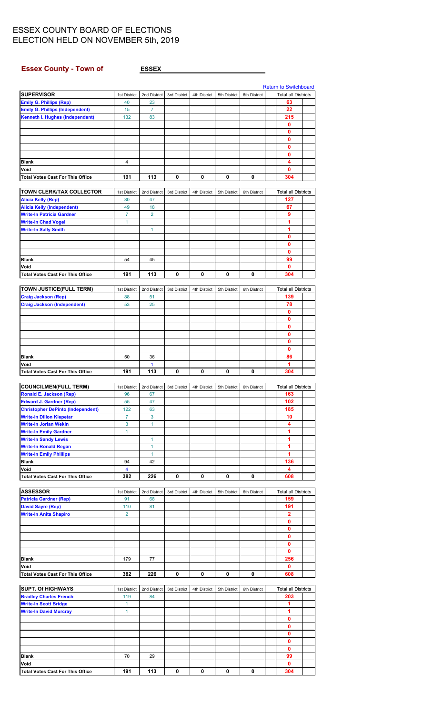<span id="page-6-0"></span>**Essex County - Town of** 

|--|

|                                                                |                    |                    |              |              |              |              | <b>Return to Switchboard</b>      |  |
|----------------------------------------------------------------|--------------------|--------------------|--------------|--------------|--------------|--------------|-----------------------------------|--|
| <b>SUPERVISOR</b>                                              | 1st District       | 2nd District       | 3rd District | 4th District | 5th District | 6th District | <b>Total all Districts</b>        |  |
| <b>Emily G. Phillips (Rep)</b>                                 | 40                 | 23                 |              |              |              |              | 63                                |  |
| <b>Emily G. Phillips (Independent)</b>                         | 15                 | $\overline{7}$     |              |              |              |              | 22                                |  |
| Kenneth I. Hughes (Independent)                                | 132                | 83                 |              |              |              |              | 215                               |  |
|                                                                |                    |                    |              |              |              |              | 0                                 |  |
|                                                                |                    |                    |              |              |              |              | 0                                 |  |
|                                                                |                    |                    |              |              |              |              | 0                                 |  |
|                                                                |                    |                    |              |              |              |              | 0                                 |  |
|                                                                |                    |                    |              |              |              |              | 0                                 |  |
| <b>Blank</b>                                                   | 4                  |                    |              |              |              |              | 4                                 |  |
| Void                                                           |                    |                    |              |              |              |              | 0                                 |  |
| <b>Total Votes Cast For This Office</b>                        | 191                | 113                | 0            | 0            | 0            | 0            | 304                               |  |
| <b>TOWN CLERK/TAX COLLECTOR</b>                                |                    |                    |              |              |              |              |                                   |  |
|                                                                | 1st District<br>80 | 2nd District<br>47 | 3rd District | 4th District | 5th District | 6th District | <b>Total all Districts</b><br>127 |  |
| <b>Alicia Kelly (Rep)</b><br><b>Alicia Kelly (Independent)</b> | 49                 | 18                 |              |              |              |              | 67                                |  |
| <b>Write-In Patricia Gardner</b>                               | $\overline{7}$     | $\overline{2}$     |              |              |              |              | 9                                 |  |
| <b>Write-In Chad Vogel</b>                                     | 1                  |                    |              |              |              |              | 1                                 |  |
| <b>Write-In Sally Smith</b>                                    |                    | 1                  |              |              |              |              | 1                                 |  |
|                                                                |                    |                    |              |              |              |              | 0                                 |  |
|                                                                |                    |                    |              |              |              |              | 0                                 |  |
|                                                                |                    |                    |              |              |              |              | 0                                 |  |
| <b>Blank</b>                                                   | 54                 | 45                 |              |              |              |              | 99                                |  |
| Void                                                           |                    |                    |              |              |              |              | 0                                 |  |
| <b>Total Votes Cast For This Office</b>                        | 191                | 113                | 0            | 0            | 0            | 0            | 304                               |  |
|                                                                |                    |                    |              |              |              |              |                                   |  |
| <b>TOWN JUSTICE(FULL TERM)</b>                                 | 1st District       | 2nd District       | 3rd District | 4th District | 5th District | 6th District | <b>Total all Districts</b>        |  |
| <b>Craig Jackson (Rep)</b>                                     | 88                 | 51                 |              |              |              |              | 139                               |  |
| <b>Craig Jackson (Independent)</b>                             | 53                 | 25                 |              |              |              |              | 78                                |  |
|                                                                |                    |                    |              |              |              |              | 0                                 |  |
|                                                                |                    |                    |              |              |              |              | 0                                 |  |
|                                                                |                    |                    |              |              |              |              | 0                                 |  |
|                                                                |                    |                    |              |              |              |              | 0                                 |  |
|                                                                |                    |                    |              |              |              |              | 0                                 |  |
|                                                                |                    |                    |              |              |              |              | 0                                 |  |
| <b>Blank</b>                                                   | 50                 | 36                 |              |              |              |              | 86                                |  |
| Void                                                           |                    | $\mathbf{1}$       |              |              |              |              | 1                                 |  |
| <b>Total Votes Cast For This Office</b>                        | 191                | 113                | 0            | 0            | 0            | 0            | 304                               |  |
|                                                                |                    |                    |              |              |              |              |                                   |  |
| <b>COUNCILMEN(FULL TERM)</b>                                   | 1st District       | 2nd District       | 3rd District | 4th District | 5th District | 6th District | <b>Total all Districts</b>        |  |
| <b>Ronald E. Jackson (Rep)</b>                                 | 96                 | 67                 |              |              |              |              | 163                               |  |
| <b>Edward J. Gardner (Rep)</b>                                 | 55                 | 47                 |              |              |              |              | 102                               |  |
| <b>Christopher DePinto (Independent)</b>                       | 122                | 63                 |              |              |              |              | 185                               |  |
| <b>Write-in Dillon Klepetar</b>                                | 7                  | 3                  |              |              |              |              | 10                                |  |
| <b>Write-In Jorian Wekin</b>                                   | 3                  | $\mathbf{1}$       |              |              |              |              | 4                                 |  |
| <b>Write-In Emily Gardner</b>                                  | 1                  |                    |              |              |              |              | 1                                 |  |
| <b>Write-In Sandy Lewis</b>                                    |                    | 1                  |              |              |              |              |                                   |  |
| <b>Write-In Ronald Regan</b>                                   |                    | 1                  |              |              |              |              | 1                                 |  |
| <b>Write-In Emily Phillips</b>                                 |                    |                    |              |              |              |              | 1                                 |  |
| Blank                                                          |                    | 1                  |              |              |              |              | 1                                 |  |
|                                                                | 94                 | 42                 |              |              |              |              | 136                               |  |
| Void                                                           | 4                  |                    |              |              |              |              | 4                                 |  |
| <b>Total Votes Cast For This Office</b>                        | 382                | 226                | 0            | 0            | 0            | 0            | 608                               |  |
|                                                                |                    |                    |              |              |              |              |                                   |  |
| <b>ASSESSOR</b>                                                | 1st District       | 2nd District       | 3rd District | 4th District | 5th District | 6th District | <b>Total all Districts</b>        |  |
| <b>Patricia Gardner (Rep)</b>                                  | 91                 | 68                 |              |              |              |              | 159                               |  |
| <b>David Sayre (Rep)</b>                                       | 110                | 81                 |              |              |              |              | 191                               |  |
| <b>Write-In Anita Shapiro</b>                                  | $\overline{2}$     |                    |              |              |              |              | $\mathbf{2}$                      |  |
|                                                                |                    |                    |              |              |              |              | 0                                 |  |
|                                                                |                    |                    |              |              |              |              | 0                                 |  |
|                                                                |                    |                    |              |              |              |              | 0                                 |  |
|                                                                |                    |                    |              |              |              |              | 0                                 |  |
|                                                                |                    |                    |              |              |              |              | 0                                 |  |
| <b>Blank</b>                                                   | 179                | 77                 |              |              |              |              | 256                               |  |
| Void                                                           |                    |                    |              |              | 0            | 0            | 0                                 |  |
| <b>Total Votes Cast For This Office</b>                        | 382                | 226                | 0            | 0            |              |              | 608                               |  |
| <b>SUPT. Of HIGHWAYS</b>                                       | 1st District       | 2nd District       | 3rd District | 4th District | 5th District | 6th District | <b>Total all Districts</b>        |  |
| <b>Bradley Charles French</b>                                  | 119                | 84                 |              |              |              |              | 203                               |  |
|                                                                | 1                  |                    |              |              |              |              | 1                                 |  |
| <b>Write-In Scott Bridge</b>                                   | 1                  |                    |              |              |              |              | 1                                 |  |
| <b>Write-In David Murcray</b>                                  |                    |                    |              |              |              |              | 0                                 |  |
|                                                                |                    |                    |              |              |              |              | 0                                 |  |
|                                                                |                    |                    |              |              |              |              | $\mathbf 0$                       |  |
|                                                                |                    |                    |              |              |              |              | 0                                 |  |
|                                                                |                    |                    |              |              |              |              | $\mathbf 0$                       |  |
| Blank                                                          | 70                 | 29                 |              |              |              |              | 99                                |  |
| Void                                                           |                    |                    |              |              |              |              | 0                                 |  |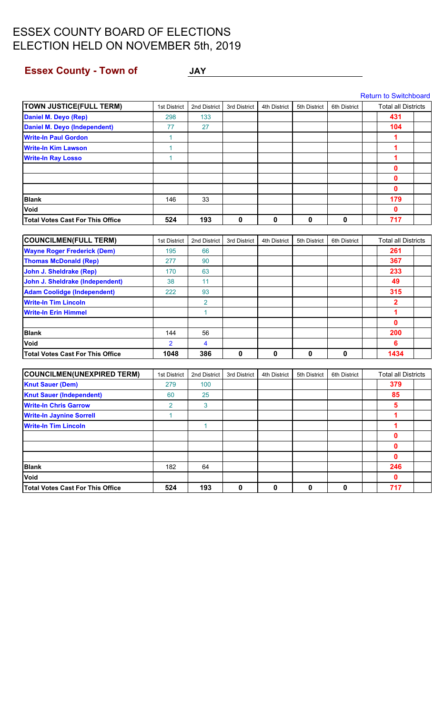# <span id="page-7-0"></span>**Essex County - Town of The COUNTY OF STATE AND AVALUATE AND THE COUNTY OF STATE AND THE COUNTY OF STATE AND THE COUNTY OF STATE AND THE COUNTY OF STATE AND THE COUNTY OF STATE AND THE COUNTY OF STATE AND THE COUNTY OF STA**

| <b>TOWN JUSTICE(FULL TERM)</b>          | 1st District   | 2nd District            | 3rd District | 4th District | 5th District | 6th District | <b>Total all Districts</b> |  |
|-----------------------------------------|----------------|-------------------------|--------------|--------------|--------------|--------------|----------------------------|--|
| <b>Daniel M. Deyo (Rep)</b>             | 298            | 133                     |              |              |              |              | 431                        |  |
| <b>Daniel M. Deyo (Independent)</b>     | 77             | 27                      |              |              |              |              | 104                        |  |
| <b>Write-In Paul Gordon</b>             | $\mathbf{1}$   |                         |              |              |              |              | 1                          |  |
| <b>Write-In Kim Lawson</b>              | $\mathbf{1}$   |                         |              |              |              |              | 1                          |  |
| <b>Write-In Ray Losso</b>               | $\mathbf{1}$   |                         |              |              |              |              | 1                          |  |
|                                         |                |                         |              |              |              |              | 0                          |  |
|                                         |                |                         |              |              |              |              | 0                          |  |
|                                         |                |                         |              |              |              |              | $\mathbf{0}$               |  |
| <b>Blank</b>                            | 146            | 33                      |              |              |              |              | 179                        |  |
| Void                                    |                |                         |              |              |              |              | 0                          |  |
| <b>Total Votes Cast For This Office</b> | 524            | 193                     | 0            | $\mathbf 0$  | $\mathbf 0$  | $\mathbf 0$  | 717                        |  |
|                                         |                |                         |              |              |              |              |                            |  |
| <b>COUNCILMEN(FULL TERM)</b>            | 1st District   | 2nd District            | 3rd District | 4th District | 5th District | 6th District | <b>Total all Districts</b> |  |
| <b>Wayne Roger Frederick (Dem)</b>      | 195            | 66                      |              |              |              |              | 261                        |  |
| <b>Thomas McDonald (Rep)</b>            | 277            | 90                      |              |              |              |              | 367                        |  |
| John J. Sheldrake (Rep)                 | 170            | 63                      |              |              |              |              | 233                        |  |
| John J. Sheldrake (Independent)         | 38             | 11                      |              |              |              |              | 49                         |  |
| <b>Adam Coolidge (Independent)</b>      | 222            | 93                      |              |              |              |              | 315                        |  |
| <b>Write-In Tim Lincoln</b>             |                | $\overline{2}$          |              |              |              |              | $\overline{\mathbf{2}}$    |  |
| <b>Write-In Erin Himmel</b>             |                | 1                       |              |              |              |              | 1                          |  |
|                                         |                |                         |              |              |              |              | $\mathbf{0}$               |  |
| <b>Blank</b>                            | 144            | 56                      |              |              |              |              | 200                        |  |
| Void                                    | $\overline{2}$ | $\overline{\mathbf{4}}$ |              |              |              |              | 6                          |  |
| <b>Total Votes Cast For This Office</b> | 1048           | 386                     | 0            | $\mathbf 0$  | $\mathbf 0$  | $\mathbf 0$  | 1434                       |  |
| <b>COUNCILMEN(UNEXPIRED TERM)</b>       | 1st District   | 2nd District            | 3rd District | 4th District | 5th District | 6th District | <b>Total all Districts</b> |  |
| <b>Knut Sauer (Dem)</b>                 | 279            | 100                     |              |              |              |              | 379                        |  |
| <b>Knut Sauer (Independent)</b>         | 60             | 25                      |              |              |              |              | 85                         |  |
| <b>Write-In Chris Garrow</b>            | $\overline{2}$ | 3                       |              |              |              |              | 5                          |  |
| <b>Write-In Jaynine Sorrell</b>         | 1              |                         |              |              |              |              | 1                          |  |
| <b>Write-In Tim Lincoln</b>             |                | 1                       |              |              |              |              | 1                          |  |
|                                         |                |                         |              |              |              |              | 0                          |  |
|                                         |                |                         |              |              |              |              | $\pmb{0}$                  |  |
|                                         |                |                         |              |              |              |              | $\mathbf 0$                |  |
| <b>Blank</b>                            | 182            | 64                      |              |              |              |              | 246                        |  |
| Void                                    |                |                         |              |              |              |              | $\mathbf 0$                |  |
| <b>Total Votes Cast For This Office</b> | 524            | 193                     | $\pmb{0}$    | $\pmb{0}$    | $\pmb{0}$    | $\pmb{0}$    | 717                        |  |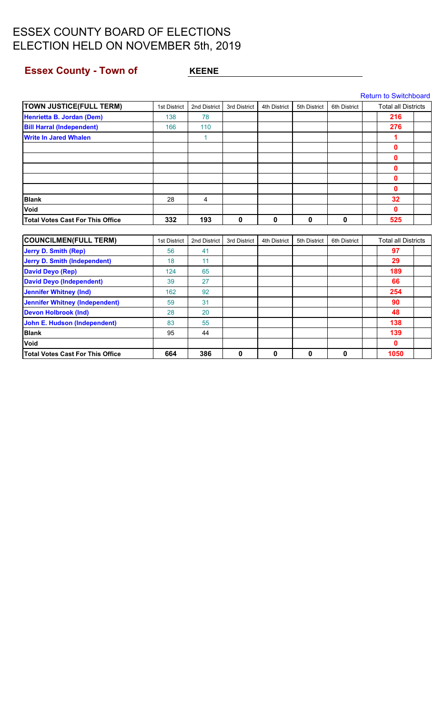## <span id="page-8-0"></span>**Essex County - Town of KEENE**

| <b>TOWN JUSTICE(FULL TERM)</b>          | 1st District | 2nd District   | 3rd District | 4th District | 5th District | 6th District | <b>Total all Districts</b> |  |
|-----------------------------------------|--------------|----------------|--------------|--------------|--------------|--------------|----------------------------|--|
| Henrietta B. Jordan (Dem)               | 138          | 78             |              |              |              |              | 216                        |  |
| <b>Bill Harral (Independent)</b>        | 166          | 110            |              |              |              |              | 276                        |  |
| <b>Write In Jared Whalen</b>            |              | 1              |              |              |              |              | 1                          |  |
|                                         |              |                |              |              |              |              | 0                          |  |
|                                         |              |                |              |              |              |              | $\mathbf{0}$               |  |
|                                         |              |                |              |              |              |              | 0                          |  |
|                                         |              |                |              |              |              |              | $\mathbf{0}$               |  |
|                                         |              |                |              |              |              |              | $\mathbf{0}$               |  |
| <b>Blank</b>                            | 28           | $\overline{4}$ |              |              |              |              | 32                         |  |
| Void                                    |              |                |              |              |              |              | $\mathbf 0$                |  |
| <b>Total Votes Cast For This Office</b> | 332          | 193            | $\mathbf 0$  | 0            | $\mathbf 0$  | $\mathbf 0$  | 525                        |  |
|                                         |              |                |              |              |              |              |                            |  |
| <b>COUNCILMEN(FULL TERM)</b>            | 1st District | 2nd District   | 3rd District | 4th District | 5th District | 6th District | <b>Total all Districts</b> |  |
| <b>Jerry D. Smith (Rep)</b>             | 56           | 41             |              |              |              |              | 97                         |  |
| <b>Jerry D. Smith (Independent)</b>     | 18           | 11             |              |              |              |              | 29                         |  |
| <b>David Deyo (Rep)</b>                 | 124          | 65             |              |              |              |              | 189                        |  |
| <b>David Deyo (Independent)</b>         | 39           | 27             |              |              |              |              | 66                         |  |
| <b>Jennifer Whitney (Ind)</b>           | 162          | 92             |              |              |              |              | 254                        |  |
| <b>Jennifer Whitney (Independent)</b>   | 59           | 31             |              |              |              |              | 90                         |  |
| <b>Devon Holbrook (Ind)</b>             | 28           | 20             |              |              |              |              | 48                         |  |
| <b>John E. Hudson (Independent)</b>     | 83           | 55             |              |              |              |              | 138                        |  |
| <b>Blank</b>                            | 95           | 44             |              |              |              |              | 139                        |  |
| Void                                    |              |                |              |              |              |              | $\mathbf{0}$               |  |
| Total Votes Cast For This Office        | 664          | 386            | $\mathbf 0$  | 0            | $\mathbf 0$  | 0            | 1050                       |  |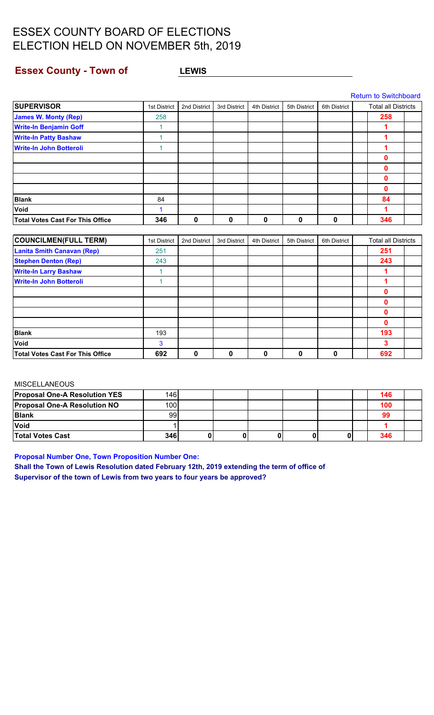### <span id="page-9-0"></span>**Essex County - Town of LEWIS**

|                                         |              |              |              |              |              |              | <b>Return to Switchboard</b> |  |
|-----------------------------------------|--------------|--------------|--------------|--------------|--------------|--------------|------------------------------|--|
| <b>SUPERVISOR</b>                       | 1st District | 2nd District | 3rd District | 4th District | 5th District | 6th District | <b>Total all Districts</b>   |  |
| <b>James W. Monty (Rep)</b>             | 258          |              |              |              |              |              | 258                          |  |
| <b>Write-In Benjamin Goff</b>           | 1            |              |              |              |              |              | 1                            |  |
| <b>Write-In Patty Bashaw</b>            | 1            |              |              |              |              |              | 1                            |  |
| <b>Write-In John Botteroli</b>          | 1            |              |              |              |              |              | 1                            |  |
|                                         |              |              |              |              |              |              | 0                            |  |
|                                         |              |              |              |              |              |              | 0                            |  |
|                                         |              |              |              |              |              |              | 0                            |  |
|                                         |              |              |              |              |              |              | 0                            |  |
| <b>Blank</b>                            | 84           |              |              |              |              |              | 84                           |  |
| Void                                    | 1            |              |              |              |              |              | 1                            |  |
| <b>Total Votes Cast For This Office</b> | 346          | 0            | $\mathbf{0}$ | 0            | $\mathbf{0}$ | 0            | 346                          |  |
|                                         |              |              |              |              |              |              |                              |  |
| <b>COUNCILMEN (FULL TERM)</b>           | 1st District | 2nd District | 3rd District | 4th District | 5th District | 6th District | <b>Total all Districts</b>   |  |
| <b>Lanita Smith Canavan (Rep)</b>       | 251          |              |              |              |              |              | 251                          |  |
| <b>Stephen Denton (Rep)</b>             | 243          |              |              |              |              |              | 243                          |  |
| <b>Write-In Larry Bashaw</b>            | 1            |              |              |              |              |              | 1                            |  |
| <b>Write-In John Botteroli</b>          | 1            |              |              |              |              |              | 1                            |  |
|                                         |              |              |              |              |              |              | 0                            |  |
|                                         |              |              |              |              |              |              | 0                            |  |
|                                         |              |              |              |              |              |              | 0                            |  |
|                                         |              |              |              |              |              |              | 0                            |  |
| <b>Blank</b>                            | 193          |              |              |              |              |              | 193                          |  |

#### MISCELLANEOUS

| <b>Proposal One-A Resolution YES</b> | 146l |  |  |  | 146 |  |
|--------------------------------------|------|--|--|--|-----|--|
| <b>Proposal One-A Resolution NO</b>  | 100  |  |  |  | 100 |  |
| <b>Blank</b>                         | 99   |  |  |  | 99  |  |
| <b>Void</b>                          |      |  |  |  |     |  |
| <b>Total Votes Cast</b>              | 346  |  |  |  | 346 |  |

**Void** 3 **3 Total Votes Cast For This Office 692 0 0 0 0 0 692**

**Proposal Number One, Town Proposition Number One:**

**Shall the Town of Lewis Resolution dated February 12th, 2019 extending the term of office of Supervisor of the town of Lewis from two years to four years be approved?**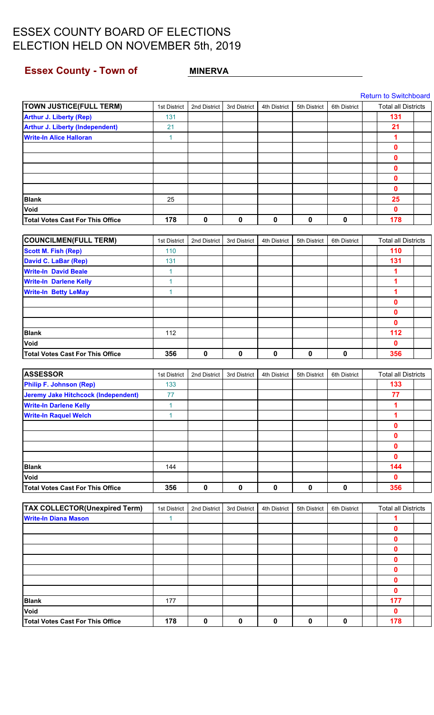## <span id="page-10-0"></span>**Essex County - Town of MINERVA**

|                                            |              |              |              |              |              |              | <b>Return to Switchboard</b> |  |
|--------------------------------------------|--------------|--------------|--------------|--------------|--------------|--------------|------------------------------|--|
| <b>TOWN JUSTICE(FULL TERM)</b>             | 1st District | 2nd District | 3rd District | 4th District | 5th District | 6th District | <b>Total all Districts</b>   |  |
| <b>Arthur J. Liberty (Rep)</b>             | 131          |              |              |              |              |              | 131                          |  |
| <b>Arthur J. Liberty (Independent)</b>     | 21           |              |              |              |              |              | 21                           |  |
| <b>Write-In Alice Halloran</b>             | $\mathbf{1}$ |              |              |              |              |              | 1                            |  |
|                                            |              |              |              |              |              |              | $\mathbf 0$                  |  |
|                                            |              |              |              |              |              |              | $\mathbf 0$                  |  |
|                                            |              |              |              |              |              |              | $\mathbf 0$                  |  |
|                                            |              |              |              |              |              |              | $\mathbf 0$                  |  |
|                                            |              |              |              |              |              |              | $\mathbf 0$                  |  |
| <b>Blank</b>                               | 25           |              |              |              |              |              | 25                           |  |
| Void                                       |              |              |              |              |              |              | $\mathbf 0$                  |  |
| <b>Total Votes Cast For This Office</b>    | 178          | $\mathbf 0$  | $\mathbf 0$  | $\mathbf 0$  | $\mathbf 0$  | $\mathbf 0$  | 178                          |  |
|                                            |              |              |              |              |              |              |                              |  |
| <b>COUNCILMEN(FULL TERM)</b>               | 1st District | 2nd District | 3rd District | 4th District | 5th District | 6th District | <b>Total all Districts</b>   |  |
| <b>Scott M. Fish (Rep)</b>                 | 110          |              |              |              |              |              | 110                          |  |
| <b>David C. LaBar (Rep)</b>                | 131          |              |              |              |              |              | 131                          |  |
| <b>Write-In David Beale</b>                | $\mathbf{1}$ |              |              |              |              |              | 1                            |  |
| <b>Write-In Darlene Kelly</b>              | $\mathbf{1}$ |              |              |              |              |              | 1                            |  |
| <b>Write-In Betty LeMay</b>                | $\mathbf{1}$ |              |              |              |              |              | 1                            |  |
|                                            |              |              |              |              |              |              | $\mathbf 0$                  |  |
|                                            |              |              |              |              |              |              | $\mathbf 0$                  |  |
|                                            |              |              |              |              |              |              | $\mathbf 0$                  |  |
| <b>Blank</b>                               | 112          |              |              |              |              |              | 112                          |  |
| Void                                       |              |              |              |              |              |              | $\mathbf{0}$                 |  |
| <b>Total Votes Cast For This Office</b>    | 356          | 0            | 0            | $\pmb{0}$    | 0            | 0            | 356                          |  |
|                                            |              |              |              |              |              |              |                              |  |
| <b>ASSESSOR</b>                            | 1st District | 2nd District | 3rd District | 4th District | 5th District | 6th District | <b>Total all Districts</b>   |  |
| <b>Philip F. Johnson (Rep)</b>             | 133          |              |              |              |              |              | 133                          |  |
| <b>Jeremy Jake Hitchcock (Independent)</b> | 77           |              |              |              |              |              | 77                           |  |
| <b>Write-In Darlene Kelly</b>              | $\mathbf{1}$ |              |              |              |              |              | 1                            |  |
| <b>Write-In Raquel Welch</b>               | $\mathbf{1}$ |              |              |              |              |              | 1                            |  |
|                                            |              |              |              |              |              |              | $\mathbf 0$                  |  |
|                                            |              |              |              |              |              |              | $\mathbf 0$                  |  |
|                                            |              |              |              |              |              |              | $\mathbf 0$                  |  |
|                                            |              |              |              |              |              |              | $\mathbf 0$                  |  |
| <b>Blank</b>                               | 144          |              |              |              |              |              | 144                          |  |
| Void                                       |              |              |              |              |              |              | $\mathbf{0}$                 |  |
| <b>Total Votes Cast For This Office</b>    | 356          | $\mathbf 0$  | $\mathbf 0$  | $\mathbf 0$  | $\mathbf 0$  | $\mathbf 0$  | 356                          |  |
|                                            |              |              |              |              |              |              |                              |  |
| <b>TAX COLLECTOR(Unexpired Term)</b>       | 1st District | 2nd District | 3rd District | 4th District | 5th District | 6th District | <b>Total all Districts</b>   |  |
| <b>Write-In Diana Mason</b>                | $\mathbf{1}$ |              |              |              |              |              | 1                            |  |
|                                            |              |              |              |              |              |              | $\mathbf 0$                  |  |
|                                            |              |              |              |              |              |              | $\mathbf 0$                  |  |
|                                            |              |              |              |              |              |              | $\mathbf 0$                  |  |
|                                            |              |              |              |              |              |              | $\mathbf 0$                  |  |
|                                            |              |              |              |              |              |              | $\mathbf 0$                  |  |
|                                            |              |              |              |              |              |              | $\mathbf 0$                  |  |
|                                            |              |              |              |              |              |              | $\mathbf 0$                  |  |
| <b>Blank</b>                               | 177          |              |              |              |              |              | 177                          |  |
| Void                                       |              |              |              |              |              |              | $\mathbf 0$                  |  |
| <b>Total Votes Cast For This Office</b>    | 178          | $\pmb{0}$    | $\mathbf 0$  | $\pmb{0}$    | 0            | 0            | 178                          |  |
|                                            |              |              |              |              |              |              |                              |  |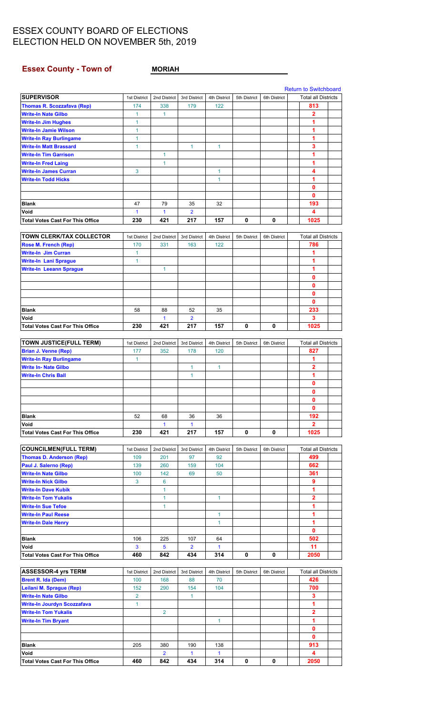## <span id="page-11-0"></span>Essex County - Town of MORIAH

|                                                                 |                |                       |                      |                     |              |              | <b>Return to Switchboard</b> |  |
|-----------------------------------------------------------------|----------------|-----------------------|----------------------|---------------------|--------------|--------------|------------------------------|--|
| <b>SUPERVISOR</b>                                               | 1st District   | 2nd District          | 3rd District         | 4th District        | 5th District | 6th District | <b>Total all Districts</b>   |  |
| <b>Thomas R. Scozzafava (Rep)</b>                               | 174            | 338                   | 179                  | 122                 |              |              | 813                          |  |
| <b>Write-In Nate Gilbo</b>                                      | $\mathbf{1}$   | 1                     |                      |                     |              |              | 2                            |  |
| <b>Write-In Jim Hughes</b>                                      | 1              |                       |                      |                     |              |              | 1                            |  |
| <b>Write-In Jamie Wilson</b>                                    | 1              |                       |                      |                     |              |              | 1<br>1                       |  |
| <b>Write-In Ray Burlingame</b><br><b>Write-In Matt Brassard</b> | 1<br>1         |                       | 1                    | 1                   |              |              | 3                            |  |
| <b>Write-In Tim Garrison</b>                                    |                | 1                     |                      |                     |              |              | 1                            |  |
| <b>Write-In Fred Laing</b>                                      |                | 1                     |                      |                     |              |              | 1                            |  |
| <b>Write-In James Curran</b>                                    | 3              |                       |                      | 1                   |              |              | 4                            |  |
| <b>Write-In Todd Hicks</b>                                      |                |                       |                      | $\mathbf{1}$        |              |              | 1                            |  |
|                                                                 |                |                       |                      |                     |              |              | 0                            |  |
|                                                                 |                |                       |                      |                     |              |              | 0                            |  |
| <b>Blank</b>                                                    | 47             | 79                    | 35                   | 32                  |              |              | 193                          |  |
| Void                                                            | $\mathbf{1}$   | $\mathbf{1}$          | $\overline{2}$       |                     |              |              | 4                            |  |
| <b>Total Votes Cast For This Office</b>                         | 230            | 421                   | 217                  | 157                 | 0            | 0            | 1025                         |  |
| TOWN CLERK/TAX COLLECTOR                                        | 1st District   | 2nd District          | 3rd District         | <b>4th District</b> | 5th District | 6th District | <b>Total all Districts</b>   |  |
| Rose M. French (Rep)                                            | 170            | 331                   | 163                  | 122                 |              |              | 786                          |  |
| <b>Write-In Jim Curran</b>                                      | $\mathbf{1}$   |                       |                      |                     |              |              | 1                            |  |
| <b>Write-In Lani Sprague</b>                                    | $\mathbf{1}$   |                       |                      |                     |              |              | 1                            |  |
| <b>Write-In Leeann Sprague</b>                                  |                | 1                     |                      |                     |              |              | 1                            |  |
|                                                                 |                |                       |                      |                     |              |              | $\mathbf{0}$                 |  |
|                                                                 |                |                       |                      |                     |              |              | $\mathbf 0$                  |  |
|                                                                 |                |                       |                      |                     |              |              | 0                            |  |
|                                                                 |                |                       |                      |                     |              |              | $\mathbf{0}$                 |  |
| Blank<br>Void                                                   | 58             | 88<br>1               | 52<br>$\overline{2}$ | 35                  |              |              | 233<br>3                     |  |
| <b>Total Votes Cast For This Office</b>                         | 230            | 421                   | 217                  | 157                 | 0            | 0            | 1025                         |  |
|                                                                 |                |                       |                      |                     |              |              |                              |  |
| <b>TOWN JUSTICE(FULL TERM)</b>                                  | 1st District   | 2nd District          | 3rd District         | 4th District        | 5th District | 6th District | <b>Total all Districts</b>   |  |
| <b>Brian J. Venne (Rep)</b>                                     | 177            | 352                   | 178                  | 120                 |              |              | 827                          |  |
| <b>Write-In Ray Burlingame</b>                                  | $\mathbf{1}$   |                       |                      |                     |              |              | 1                            |  |
| <b>Write In- Nate Gilbo</b>                                     |                |                       | 1                    | $\mathbf{1}$        |              |              | $\overline{2}$               |  |
| <b>Write-In Chris Ball</b>                                      |                |                       | 1                    |                     |              |              | 1                            |  |
|                                                                 |                |                       |                      |                     |              |              | 0                            |  |
|                                                                 |                |                       |                      |                     |              |              | 0                            |  |
|                                                                 |                |                       |                      |                     |              |              | 0<br>$\mathbf{0}$            |  |
| Blank                                                           | 52             | 68                    | 36                   | 36                  |              |              | 192                          |  |
| Void                                                            |                | $\mathbf{1}$          | $\mathbf{1}$         |                     |              |              | $\mathbf{2}$                 |  |
| <b>Total Votes Cast For This Office</b>                         | 230            | 421                   | 217                  | 157                 | 0            | 0            | 1025                         |  |
|                                                                 |                |                       |                      |                     |              |              |                              |  |
| <b>COUNCILMEN(FULL TERM)</b>                                    | 1st District   | 2nd District          | 3rd District         | 4th District        | 5th District | 6th District | <b>Total all Districts</b>   |  |
| <b>Thomas D. Anderson (Rep)</b>                                 | 109            | 201                   | 97                   | 92                  |              |              | 499                          |  |
| Paul J. Salerno (Rep)                                           | 139            | 260                   | 159                  | 104                 |              |              | 662                          |  |
| <b>Write-In Nate Gilbo</b><br><b>Write-In Nick Gilbo</b>        | 100<br>3       | 142<br>6              | 69                   | 50                  |              |              | 361<br>9                     |  |
| <b>Write-In Dave Kubik</b>                                      |                | $\mathbf{1}$          |                      |                     |              |              | 1                            |  |
| <b>Write-In Tom Yukalis</b>                                     |                | $\mathbf{1}$          |                      | $\mathbf{1}$        |              |              | 2                            |  |
| <b>Write-In Sue Tefoe</b>                                       |                | $\mathbf{1}$          |                      |                     |              |              | 1                            |  |
| <b>Write-In Paul Reese</b>                                      |                |                       |                      | $\mathbf{1}$        |              |              | 1                            |  |
| <b>Write-In Dale Henry</b>                                      |                |                       |                      | 1                   |              |              | 1                            |  |
|                                                                 |                |                       |                      |                     |              |              | 0                            |  |
| Blank                                                           | 106            | 225                   | 107                  | 64                  |              |              | 502                          |  |
| Void                                                            | 3              | 5                     | $\overline{2}$       | $\mathbf{1}$        |              |              | 11                           |  |
| <b>Total Votes Cast For This Office</b>                         | 460            | 842                   | 434                  | 314                 | 0            | 0            | 2050                         |  |
| <b>ASSESSOR-4 yrs TERM</b>                                      | 1st District   | 2nd District          | 3rd District         | 4th District        | 5th District | 6th District | <b>Total all Districts</b>   |  |
| <b>Brent R. Ida (Dem)</b>                                       | 100            | 168                   | 88                   | 70                  |              |              | 426                          |  |
| Leilani M. Sprague (Rep)                                        | 152            | 290                   | 154                  | 104                 |              |              | 700                          |  |
| <b>Write-In Nate Gilbo</b>                                      | $\overline{2}$ |                       | $\mathbf{1}$         |                     |              |              | 3                            |  |
| <b>Write-In Jourdyn Scozzafava</b>                              | $\mathbf{1}$   |                       |                      |                     |              |              | 1                            |  |
| <b>Write-In Tom Yukalis</b>                                     |                | $\overline{2}$        |                      |                     |              |              | $\overline{\mathbf{2}}$      |  |
|                                                                 |                |                       |                      | $\mathbf{1}$        |              |              | 1                            |  |
| <b>Write-In Tim Bryant</b>                                      |                |                       |                      |                     |              |              |                              |  |
|                                                                 |                |                       |                      |                     |              |              | 0                            |  |
|                                                                 |                |                       |                      |                     |              |              | 0                            |  |
| Blank                                                           | 205            | 380                   | 190                  | 138                 |              |              | 913                          |  |
| Void<br><b>Total Votes Cast For This Office</b>                 | 460            | $\overline{2}$<br>842 | $\mathbf{1}$<br>434  | $\mathbf{1}$<br>314 | 0            | 0            | 4<br>2050                    |  |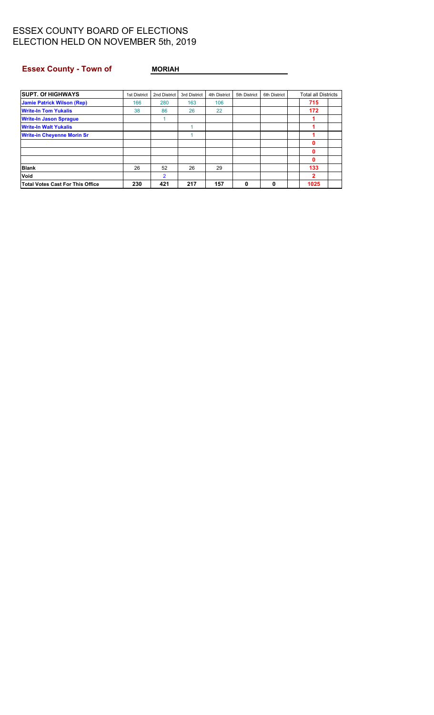### Essex County - Town of MORIAH

| <b>SUPT. Of HIGHWAYS</b>          | 1st District | 2nd District   | 3rd District | 4th District | 5th District | 6th District | <b>Total all Districts</b> |  |
|-----------------------------------|--------------|----------------|--------------|--------------|--------------|--------------|----------------------------|--|
| <b>Jamie Patrick Wilson (Rep)</b> | 166          | 280            | 163          | 106          |              |              | 715                        |  |
| <b>Write-In Tom Yukalis</b>       | 38           | 86             | 26           | 22           |              |              | 172                        |  |
| <b>Write-In Jason Sprague</b>     |              |                |              |              |              |              |                            |  |
| <b>Write-In Walt Yukalis</b>      |              |                |              |              |              |              |                            |  |
| <b>Write-in Chevenne Morin Sr</b> |              |                |              |              |              |              |                            |  |
|                                   |              |                |              |              |              |              | n                          |  |
|                                   |              |                |              |              |              |              | 0                          |  |
|                                   |              |                |              |              |              |              | 0                          |  |
| <b>Blank</b>                      | 26           | 52             | 26           | 29           |              |              | 133                        |  |
| Void                              |              | $\overline{2}$ |              |              |              |              | 2                          |  |
| Total Votes Cast For This Office  | 230          | 421            | 217          | 157          | 0            |              | 1025                       |  |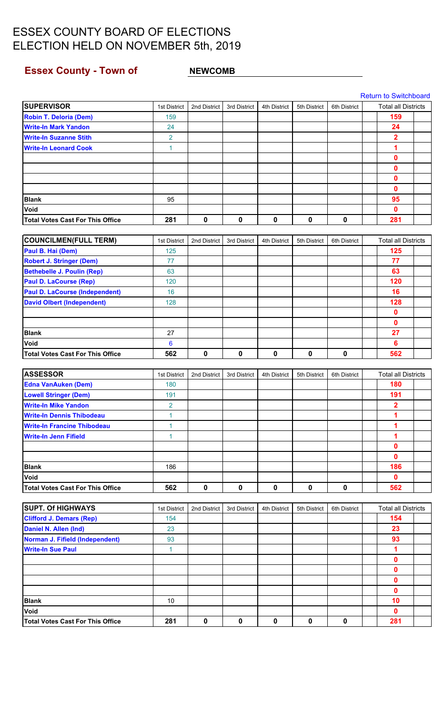## <span id="page-13-0"></span>**Essex County - Town of MEWCOMB**

|                                         |                |              |              |              |              |              | <b>Return to Switchboard</b> |  |
|-----------------------------------------|----------------|--------------|--------------|--------------|--------------|--------------|------------------------------|--|
| <b>SUPERVISOR</b>                       | 1st District   | 2nd District | 3rd District | 4th District | 5th District | 6th District | <b>Total all Districts</b>   |  |
| <b>Robin T. Deloria (Dem)</b>           | 159            |              |              |              |              |              | 159                          |  |
| <b>Write-In Mark Yandon</b>             | 24             |              |              |              |              |              | 24                           |  |
| <b>Write-In Suzanne Stith</b>           | $\overline{2}$ |              |              |              |              |              | $\overline{\mathbf{2}}$      |  |
| <b>Write-In Leonard Cook</b>            | $\mathbf{1}$   |              |              |              |              |              | 1                            |  |
|                                         |                |              |              |              |              |              | $\mathbf{0}$                 |  |
|                                         |                |              |              |              |              |              | 0                            |  |
|                                         |                |              |              |              |              |              | 0                            |  |
|                                         |                |              |              |              |              |              | $\mathbf{0}$                 |  |
| <b>Blank</b>                            | 95             |              |              |              |              |              | 95                           |  |
| Void                                    |                |              |              |              |              |              | $\mathbf{0}$                 |  |
| <b>Total Votes Cast For This Office</b> | 281            | 0            | $\mathbf 0$  | $\mathbf 0$  | 0            | $\mathbf 0$  | 281                          |  |
|                                         |                |              |              |              |              |              |                              |  |
| <b>COUNCILMEN(FULL TERM)</b>            | 1st District   | 2nd District | 3rd District | 4th District | 5th District | 6th District | <b>Total all Districts</b>   |  |
| Paul B. Hai (Dem)                       | 125            |              |              |              |              |              | 125                          |  |
| <b>Robert J. Stringer (Dem)</b>         | 77             |              |              |              |              |              | 77                           |  |
| <b>Bethebelle J. Poulin (Rep)</b>       | 63             |              |              |              |              |              | 63                           |  |
| <b>Paul D. LaCourse (Rep)</b>           | 120            |              |              |              |              |              | 120                          |  |
| <b>Paul D. LaCourse (Independent)</b>   | 16             |              |              |              |              |              | 16                           |  |
| <b>David Olbert (Independent)</b>       | 128            |              |              |              |              |              | 128                          |  |
|                                         |                |              |              |              |              |              | $\mathbf 0$                  |  |
|                                         |                |              |              |              |              |              | 0                            |  |
| <b>Blank</b>                            | 27             |              |              |              |              |              | 27                           |  |
| Void                                    | 6              |              |              |              |              |              | 6                            |  |
| <b>Total Votes Cast For This Office</b> | 562            | $\mathbf 0$  | 0            | $\mathbf 0$  | 0            | $\mathbf 0$  | 562                          |  |
|                                         |                |              |              |              |              |              |                              |  |
| <b>ASSESSOR</b>                         | 1st District   | 2nd District | 3rd District | 4th District | 5th District | 6th District | <b>Total all Districts</b>   |  |
| <b>Edna VanAuken (Dem)</b>              | 180            |              |              |              |              |              | 180                          |  |
| <b>Lowell Stringer (Dem)</b>            | 191            |              |              |              |              |              | 191                          |  |
| <b>Write-In Mike Yandon</b>             | $\overline{2}$ |              |              |              |              |              | $\overline{2}$               |  |
| <b>Write-In Dennis Thibodeau</b>        | 1              |              |              |              |              |              | 1                            |  |
| <b>Write-In Francine Thibodeau</b>      | $\mathbf{1}$   |              |              |              |              |              | 1                            |  |
| <b>Write-In Jenn Fifield</b>            | $\mathbf{1}$   |              |              |              |              |              | 1                            |  |
|                                         |                |              |              |              |              |              | 0                            |  |
|                                         |                |              |              |              |              |              | $\mathbf{0}$                 |  |
| <b>Blank</b>                            | 186            |              |              |              |              |              | 186                          |  |
| Void                                    |                |              |              |              |              |              | $\mathbf 0$                  |  |
| <b>Total Votes Cast For This Office</b> | 562            | $\mathbf 0$  | $\mathbf 0$  | $\pmb{0}$    | $\mathbf 0$  | $\mathbf 0$  | 562                          |  |
|                                         |                |              |              |              |              |              |                              |  |
| <b>SUPT. Of HIGHWAYS</b>                | 1st District   | 2nd District | 3rd District | 4th District | 5th District | 6th District | <b>Total all Districts</b>   |  |
| <b>Clifford J. Demars (Rep)</b>         | 154            |              |              |              |              |              | 154                          |  |
| Daniel N. Allen (Ind)                   | 23             |              |              |              |              |              | 23                           |  |
| Norman J. Fifield (Independent)         | 93             |              |              |              |              |              | 93                           |  |
| <b>Write-In Sue Paul</b>                | $\mathbf{1}$   |              |              |              |              |              | $\mathbf 1$                  |  |
|                                         |                |              |              |              |              |              | 0                            |  |
|                                         |                |              |              |              |              |              | 0                            |  |
|                                         |                |              |              |              |              |              | 0                            |  |
|                                         |                |              |              |              |              |              | 0                            |  |
| <b>Blank</b>                            | 10             |              |              |              |              |              | 10                           |  |
| Void                                    |                |              |              |              |              |              | $\mathbf 0$                  |  |
| <b>Total Votes Cast For This Office</b> | 281            | $\mathbf 0$  | $\mathbf 0$  | $\mathbf 0$  | $\mathbf 0$  | $\pmb{0}$    | 281                          |  |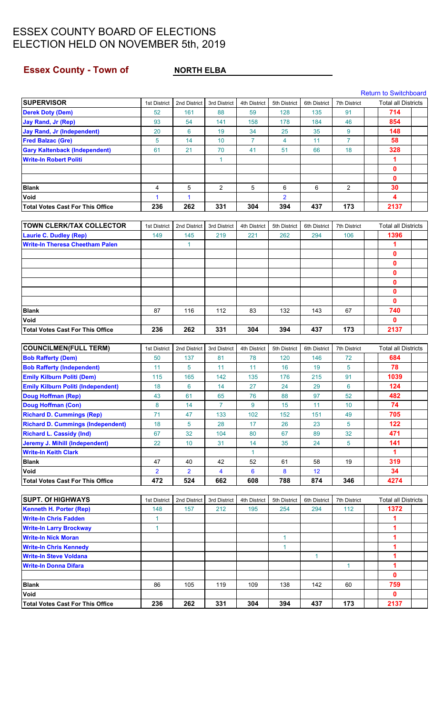### <span id="page-14-0"></span>**Essex County - Town of NORTH ELBA**

|                                         |              |              |              |              |                |              |              | <b>Return to Switchboard</b> |  |
|-----------------------------------------|--------------|--------------|--------------|--------------|----------------|--------------|--------------|------------------------------|--|
| <b>SUPERVISOR</b>                       | 1st District | 2nd District | 3rd District | 4th District | 5th District   | 6th District | 7th District | <b>Total all Districts</b>   |  |
| <b>Derek Doty (Dem)</b>                 | 52           | 161          | 88           | 59           | 128            | 135          | 91           | 714                          |  |
| <b>Jay Rand, Jr (Rep)</b>               | 93           | 54           | 141          | 158          | 178            | 184          | 46           | 854                          |  |
| <b>Jay Rand, Jr (Independent)</b>       | 20           | 6            | 19           | 34           | 25             | 35           | 9            | 148                          |  |
| <b>Fred Balzac (Gre)</b>                | 5            | 14           | 10           |              | 4              | 11           |              | 58                           |  |
| <b>Gary Kaltenback (Independent)</b>    | 61           | 21           | 70           | 41           | 51             | 66           | 18           | 328                          |  |
| <b>Write-In Robert Politi</b>           |              |              |              |              |                |              |              |                              |  |
|                                         |              |              |              |              |                |              |              | $\Omega$                     |  |
|                                         |              |              |              |              |                |              |              | $\Omega$                     |  |
| <b>Blank</b>                            | 4            | 5            | 2            | 5            | 6              | 6            | 2            | 30                           |  |
| <b>Void</b>                             |              |              |              |              | $\overline{2}$ |              |              | 4                            |  |
| <b>Total Votes Cast For This Office</b> | 236          | 262          | 331          | 304          | 394            | 437          | 173          | 2137                         |  |

| <b>TOWN CLERK/TAX COLLECTOR</b>         | 1st District | 2nd District | 3rd District | 4th District | 5th District | 6th District | 7th District | <b>Total all Districts</b> |
|-----------------------------------------|--------------|--------------|--------------|--------------|--------------|--------------|--------------|----------------------------|
| <b>Laurie C. Dudley (Rep)</b>           | 149          | 145          | 219          | 221          | 262          | 294          | 106          | 1396                       |
| <b>Write-In Theresa Cheetham Palen</b>  |              |              |              |              |              |              |              |                            |
|                                         |              |              |              |              |              |              |              | 0                          |
|                                         |              |              |              |              |              |              |              | 0                          |
|                                         |              |              |              |              |              |              |              | O                          |
|                                         |              |              |              |              |              |              |              | Ω                          |
|                                         |              |              |              |              |              |              |              | Ω                          |
|                                         |              |              |              |              |              |              |              | Ω                          |
| <b>Blank</b>                            | 87           | 116          | 112          | 83           | 132          | 143          | 67           | 740                        |
| <b>Void</b>                             |              |              |              |              |              |              |              | 0                          |
| <b>Total Votes Cast For This Office</b> | 236          | 262          | 331          | 304          | 394          | 437          | 173          | 2137                       |

| <b>COUNCILMEN(FULL TERM)</b>              | 1st District   | 2nd District   | 3rd District            | 4th District | 5th District | 6th District | <b>7th District</b> | Total all Districts |  |
|-------------------------------------------|----------------|----------------|-------------------------|--------------|--------------|--------------|---------------------|---------------------|--|
| <b>Bob Rafferty (Dem)</b>                 | 50             | 137            | 81                      | 78           | 120          | 146          | 72                  | 684                 |  |
| <b>Bob Rafferty (Independent)</b>         | 11             | 5              | 11                      | 11           | 16           | 19           | 5                   | 78                  |  |
| <b>Emily Kilburn Politi (Dem)</b>         | 115            | 165            | 142                     | 135          | 176          | 215          | 91                  | 1039                |  |
| <b>Emily Kilburn Politi (Independent)</b> | 18             | 6              | 14                      | 27           | 24           | 29           | 6                   | 124                 |  |
| <b>Doug Hoffman (Rep)</b>                 | 43             | 61             | 65                      | 76           | 88           | 97           | 52                  | 482                 |  |
| <b>Doug Hoffman (Con)</b>                 | 8              | 14             | 7                       | 9            | 15           | 11           | 10                  | 74                  |  |
| <b>Richard D. Cummings (Rep)</b>          | 71             | 47             | 133                     | 102          | 152          | 151          | 49                  | 705                 |  |
| <b>Richard D. Cummings (Independent)</b>  | 18             | 5              | 28                      | 17           | 26           | 23           | 5.                  | 122                 |  |
| <b>Richard L. Cassidy (Ind)</b>           | 67             | 32             | 104                     | 80           | 67           | 89           | 32                  | 471                 |  |
| Jeremy J. Mihill (Independent)            | 22             | 10             | 31                      | 14           | 35           | 24           | 5                   | 141                 |  |
| <b>Write-In Keith Clark</b>               |                |                |                         |              |              |              |                     |                     |  |
| <b>Blank</b>                              | 47             | 40             | 42                      | 52           | 61           | 58           | 19                  | 319                 |  |
| <b>Void</b>                               | $\overline{2}$ | $\overline{2}$ | $\overline{\mathbf{4}}$ | 6            | 8            | 12           |                     | 34                  |  |
| <b>Total Votes Cast For This Office</b>   | 472            | 524            | 662                     | 608          | 788          | 874          | 346                 | 4274                |  |

| <b>SUPT. Of HIGHWAYS</b>                | 1st District | 2nd District | 3rd District | 4th District | 5th District | 6th District | 7th District | <b>Total all Districts</b> |  |
|-----------------------------------------|--------------|--------------|--------------|--------------|--------------|--------------|--------------|----------------------------|--|
| <b>Kenneth H. Porter (Rep)</b>          | 148          | 157          | 212          | 195          | 254          | 294          | 112          | 1372                       |  |
| <b>Write-In Chris Fadden</b>            |              |              |              |              |              |              |              |                            |  |
| <b>Write-In Larry Brockway</b>          |              |              |              |              |              |              |              |                            |  |
| <b>Write-In Nick Moran</b>              |              |              |              |              |              |              |              |                            |  |
| <b>Write-In Chris Kennedy</b>           |              |              |              |              |              |              |              |                            |  |
| <b>Write-In Steve Voldana</b>           |              |              |              |              |              |              |              |                            |  |
| <b>Write-In Donna Difara</b>            |              |              |              |              |              |              |              |                            |  |
|                                         |              |              |              |              |              |              |              | 0                          |  |
| <b>Blank</b>                            | 86           | 105          | 119          | 109          | 138          | 142          | 60           | 759                        |  |
| <b>Void</b>                             |              |              |              |              |              |              |              | 0                          |  |
| <b>Total Votes Cast For This Office</b> | 236          | 262          | 331          | 304          | 394          | 437          | 173          | 2137                       |  |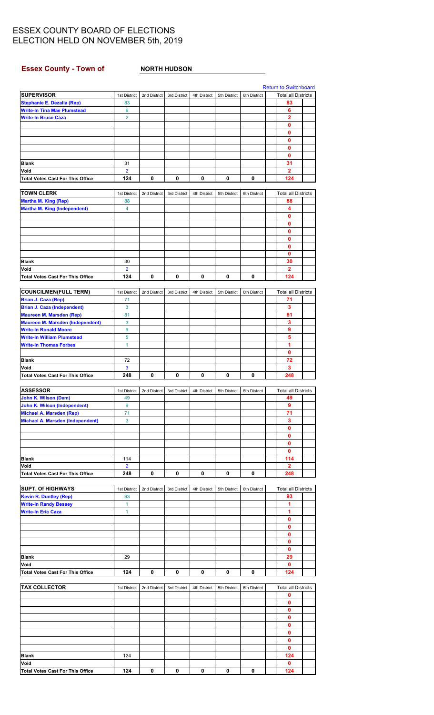#### <span id="page-15-0"></span>**Essex County - Town of NORTH HUDSON**

|                                                                  |                      |              |              |              |              |              | <b>Return to Switchboard</b> |  |
|------------------------------------------------------------------|----------------------|--------------|--------------|--------------|--------------|--------------|------------------------------|--|
| <b>SUPERVISOR</b>                                                | 1st District         | 2nd District | 3rd District | 4th District | 5th District | 6th District | <b>Total all Districts</b>   |  |
| Stephanie E. Dezalia (Rep)<br><b>Write-In Tina Mae Plumstead</b> | 83<br>6              |              |              |              |              |              | 83<br>6                      |  |
| Write-In Bruce Caza                                              | $\overline{2}$       |              |              |              |              |              | $\overline{2}$               |  |
|                                                                  |                      |              |              |              |              |              | 0                            |  |
|                                                                  |                      |              |              |              |              |              | 0                            |  |
|                                                                  |                      |              |              |              |              |              | 0                            |  |
|                                                                  |                      |              |              |              |              |              | 0                            |  |
|                                                                  |                      |              |              |              |              |              | 0                            |  |
| Blank                                                            | 31                   |              |              |              |              |              | 31                           |  |
| Void                                                             | $\overline{2}$       |              |              |              |              |              | $\overline{2}$               |  |
| <b>Total Votes Cast For This Office</b>                          | 124                  | 0            | 0            | 0            | 0            | 0            | 124                          |  |
|                                                                  |                      |              |              |              |              |              |                              |  |
| <b>TOWN CLERK</b>                                                | 1st District         | 2nd District | 3rd District | 4th District | 5th District | 6th District | <b>Total all Districts</b>   |  |
| <b>Martha M. King (Rep)</b>                                      | 88                   |              |              |              |              |              | 88                           |  |
| <b>Martha M. King (Independent)</b>                              | 4                    |              |              |              |              |              | 4                            |  |
|                                                                  |                      |              |              |              |              |              | 0                            |  |
|                                                                  |                      |              |              |              |              |              | 0                            |  |
|                                                                  |                      |              |              |              |              |              | 0<br>0                       |  |
|                                                                  |                      |              |              |              |              |              |                              |  |
|                                                                  |                      |              |              |              |              |              | 0<br>0                       |  |
| Blank                                                            |                      |              |              |              |              |              |                              |  |
| Void                                                             | 30<br>$\overline{2}$ |              |              |              |              |              | 30<br>$\mathbf{2}$           |  |
| <b>Total Votes Cast For This Office</b>                          | 124                  | 0            | 0            | 0            | 0            | 0            | 124                          |  |
|                                                                  |                      |              |              |              |              |              |                              |  |
| <b>COUNCILMEN(FULL TERM)</b>                                     | 1st District         | 2nd District | 3rd District | 4th District | 5th District | 6th District | <b>Total all Districts</b>   |  |
| Brian J. Caza (Rep)                                              | 71                   |              |              |              |              |              | 71                           |  |
| <b>Brian J. Caza (Independent)</b>                               | 3                    |              |              |              |              |              | 3                            |  |
| Maureen M. Marsden (Rep)                                         | 81                   |              |              |              |              |              | 81                           |  |
| <b>Maureen M. Marsden (Independent)</b>                          | 3                    |              |              |              |              |              | 3                            |  |
| <b>Write-In Ronald Moore</b>                                     | 9                    |              |              |              |              |              | 9                            |  |
| <b>Write-In William Plumstead</b>                                | 5                    |              |              |              |              |              | 5                            |  |
| <b>Write-In Thomas Forbes</b>                                    | 1                    |              |              |              |              |              | 1                            |  |
|                                                                  |                      |              |              |              |              |              | 0                            |  |
| <b>Blank</b>                                                     | 72                   |              |              |              |              |              | 72                           |  |
| Void                                                             | 3                    |              |              |              |              |              | 3                            |  |
| <b>Total Votes Cast For This Office</b>                          | 248                  | 0            | 0            | 0            | 0            | 0            | 248                          |  |
|                                                                  |                      |              |              |              |              |              |                              |  |
| <b>ASSESSOR</b>                                                  | 1st District         | 2nd District | 3rd District | 4th District | 5th District | 6th District | <b>Total all Districts</b>   |  |
| John K. Wilson (Dem)                                             | 49                   |              |              |              |              |              | 49                           |  |
| John K. Wilson (Independent)<br>Michael A. Marsden (Rep)         | 9<br>71              |              |              |              |              |              | 9<br>71                      |  |
| Michael A. Marsden (Independent)                                 | 3                    |              |              |              |              |              | 3                            |  |
|                                                                  |                      |              |              |              |              |              | 0                            |  |
|                                                                  |                      |              |              |              |              |              | 0                            |  |
|                                                                  |                      |              |              |              |              |              | 0                            |  |
|                                                                  |                      |              |              |              |              |              | 0                            |  |
| <b>Blank</b>                                                     | 114                  |              |              |              |              |              | 114                          |  |
| Void                                                             | $\overline{2}$       |              |              |              |              |              | $\mathbf{2}$                 |  |
| <b>Total Votes Cast For This Office</b>                          | 248                  | 0            | 0            | 0            | 0            | 0            | 248                          |  |
|                                                                  |                      |              |              |              |              |              |                              |  |
| <b>SUPT. Of HIGHWAYS</b>                                         | 1st District         | 2nd District | 3rd District | 4th District | 5th District | 6th District | <b>Total all Districts</b>   |  |
| <b>Kevin R. Duntley (Rep)</b>                                    | 93                   |              |              |              |              |              | 93                           |  |
| <b>Write-In Randy Bessey</b>                                     | $\mathbf{1}$         |              |              |              |              |              | 1                            |  |
| <b>Write-In Eric Caza</b>                                        | $\mathbf{1}$         |              |              |              |              |              | 1                            |  |
|                                                                  |                      |              |              |              |              |              | 0                            |  |
|                                                                  |                      |              |              |              |              |              | 0                            |  |
|                                                                  |                      |              |              |              |              |              | 0                            |  |
|                                                                  |                      |              |              |              |              |              | 0                            |  |
|                                                                  |                      |              |              |              |              |              | 0                            |  |
| <b>Blank</b>                                                     | 29                   |              |              |              |              |              | 29                           |  |
| Void                                                             |                      |              |              |              |              |              | 0<br>124                     |  |
| <b>Total Votes Cast For This Office</b>                          | 124                  | 0            | 0            | 0            | 0            | 0            |                              |  |
| <b>TAX COLLECTOR</b>                                             | 1st District         | 2nd District | 3rd District | 4th District | 5th District | 6th District | <b>Total all Districts</b>   |  |
|                                                                  |                      |              |              |              |              |              | 0                            |  |
|                                                                  |                      |              |              |              |              |              | 0                            |  |
|                                                                  |                      |              |              |              |              |              | 0                            |  |
|                                                                  |                      |              |              |              |              |              | 0                            |  |
|                                                                  |                      |              |              |              |              |              | 0                            |  |
|                                                                  |                      |              |              |              |              |              | 0                            |  |
|                                                                  |                      |              |              |              |              |              | 0                            |  |
|                                                                  |                      |              |              |              |              |              | 0                            |  |
| Blank                                                            | 124                  |              |              |              |              |              | 124                          |  |
| Void                                                             |                      |              |              |              |              |              | 0                            |  |
| <b>Total Votes Cast For This Office</b>                          | 124                  | 0            | 0            | 0            | 0            | 0            | 124                          |  |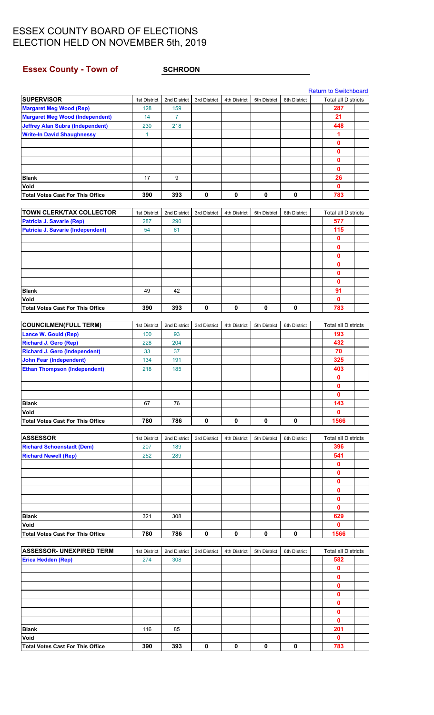### <span id="page-16-0"></span>**Essex County - Town of SCHROON**

|                                         |              |                |              |              |              |              | <b>Return to Switchboard</b> |  |
|-----------------------------------------|--------------|----------------|--------------|--------------|--------------|--------------|------------------------------|--|
| <b>SUPERVISOR</b>                       | 1st District | 2nd District   | 3rd District | 4th District | 5th District | 6th District | <b>Total all Districts</b>   |  |
| <b>Margaret Meg Wood (Rep)</b>          | 128          | 159            |              |              |              |              | 287                          |  |
| <b>Margaret Meg Wood (Independent)</b>  | 14           | $\overline{7}$ |              |              |              |              | 21                           |  |
| <b>Jeffrey Alan Subra (Independent)</b> | 230          | 218            |              |              |              |              | 448                          |  |
| <b>Write-In David Shaughnessy</b>       | 1            |                |              |              |              |              | 1                            |  |
|                                         |              |                |              |              |              |              | $\mathbf 0$                  |  |
|                                         |              |                |              |              |              |              | $\mathbf{0}$                 |  |
|                                         |              |                |              |              |              |              | $\mathbf{0}$                 |  |
|                                         |              |                |              |              |              |              | $\mathbf{0}$                 |  |
| <b>Blank</b>                            | 17           | 9              |              |              |              |              | 26                           |  |
| Void                                    |              |                |              |              |              |              | $\mathbf 0$                  |  |
| <b>Total Votes Cast For This Office</b> | 390          | 393            | 0            | 0            | $\mathbf 0$  | $\pmb{0}$    | 783                          |  |
|                                         |              |                |              |              |              |              |                              |  |
| TOWN CLERK/TAX COLLECTOR                | 1st District | 2nd District   | 3rd District | 4th District | 5th District | 6th District | <b>Total all Districts</b>   |  |
|                                         |              |                |              |              |              |              | 577                          |  |
| <b>Patricia J. Savarie (Rep)</b>        | 287          | 290            |              |              |              |              |                              |  |
| Patricia J. Savarie (Independent)       | 54           | 61             |              |              |              |              | 115                          |  |
|                                         |              |                |              |              |              |              | 0                            |  |
|                                         |              |                |              |              |              |              | $\mathbf 0$                  |  |
|                                         |              |                |              |              |              |              | $\mathbf 0$                  |  |
|                                         |              |                |              |              |              |              | $\mathbf 0$                  |  |
|                                         |              |                |              |              |              |              | $\mathbf{0}$                 |  |
|                                         |              |                |              |              |              |              | $\mathbf{0}$                 |  |
| <b>Blank</b>                            | 49           | 42             |              |              |              |              | 91                           |  |
| Void                                    |              |                |              |              |              |              | 0                            |  |
| <b>Total Votes Cast For This Office</b> | 390          | 393            | 0            | 0            | 0            | 0            | 783                          |  |
|                                         |              |                |              |              |              |              |                              |  |
| <b>COUNCILMEN(FULL TERM)</b>            | 1st District | 2nd District   | 3rd District | 4th District | 5th District | 6th District | <b>Total all Districts</b>   |  |
| Lance W. Gould (Rep)                    | 100          | 93             |              |              |              |              | 193                          |  |
| <b>Richard J. Gero (Rep)</b>            | 228          | 204            |              |              |              |              | 432                          |  |
| <b>Richard J. Gero (Independent)</b>    | 33           | 37             |              |              |              |              | 70                           |  |
| <b>John Fear (Independent)</b>          | 134          | 191            |              |              |              |              | 325                          |  |
| <b>Ethan Thompson (Independent)</b>     |              |                |              |              |              |              | 403                          |  |
|                                         | 218          | 185            |              |              |              |              |                              |  |
|                                         |              |                |              |              |              |              | $\mathbf 0$                  |  |
|                                         |              |                |              |              |              |              | $\mathbf{0}$                 |  |
|                                         |              |                |              |              |              |              | $\mathbf{0}$                 |  |
| <b>Blank</b>                            | 67           | 76             |              |              |              |              | 143                          |  |
| Void                                    |              |                |              |              |              |              | $\mathbf 0$                  |  |
| <b>Total Votes Cast For This Office</b> | 780          | 786            | 0            | $\mathbf 0$  | $\mathbf 0$  | $\mathbf 0$  | 1566                         |  |
|                                         |              |                |              |              |              |              |                              |  |
| <b>ASSESSOR</b>                         | 1st District | 2nd District   | 3rd District | 4th District | 5th District | 6th District | <b>Total all Districts</b>   |  |
| <b>Richard Schoenstadt (Dem)</b>        | 207          | 189            |              |              |              |              | 396                          |  |
| <b>Richard Newell (Rep)</b>             | 252          | 289            |              |              |              |              | 541                          |  |
|                                         |              |                |              |              |              |              | 0                            |  |
|                                         |              |                |              |              |              |              | 0                            |  |
|                                         |              |                |              |              |              |              | $\mathbf{0}$                 |  |
|                                         |              |                |              |              |              |              | $\mathbf{0}$                 |  |
|                                         |              |                |              |              |              |              | $\mathbf 0$                  |  |
|                                         |              |                |              |              |              |              | $\mathbf 0$                  |  |
| <b>Blank</b>                            | 321          | 308            |              |              |              |              | 629                          |  |
| Void                                    |              |                |              |              |              |              | $\mathbf 0$                  |  |
| <b>Total Votes Cast For This Office</b> | 780          | 786            | 0            | $\mathbf 0$  | $\mathbf 0$  | 0            | 1566                         |  |
|                                         |              |                |              |              |              |              |                              |  |
| <b>ASSESSOR- UNEXPIRED TERM</b>         | 1st District | 2nd District   | 3rd District | 4th District | 5th District | 6th District | <b>Total all Districts</b>   |  |
| Erica Hedden (Rep)                      | 274          | 308            |              |              |              |              | 582                          |  |
|                                         |              |                |              |              |              |              | 0                            |  |
|                                         |              |                |              |              |              |              | 0                            |  |
|                                         |              |                |              |              |              |              | $\mathbf 0$                  |  |
|                                         |              |                |              |              |              |              |                              |  |
|                                         |              |                |              |              |              |              | 0                            |  |
|                                         |              |                |              |              |              |              | $\mathbf 0$                  |  |
|                                         |              |                |              |              |              |              | $\mathbf 0$                  |  |
|                                         |              |                |              |              |              |              | 0                            |  |
| <b>Blank</b>                            | 116          | 85             |              |              |              |              | 201                          |  |
|                                         |              |                |              |              |              |              |                              |  |
| Void                                    | 390          | 393            | 0            | $\mathbf 0$  |              |              | $\mathbf{0}$<br>783          |  |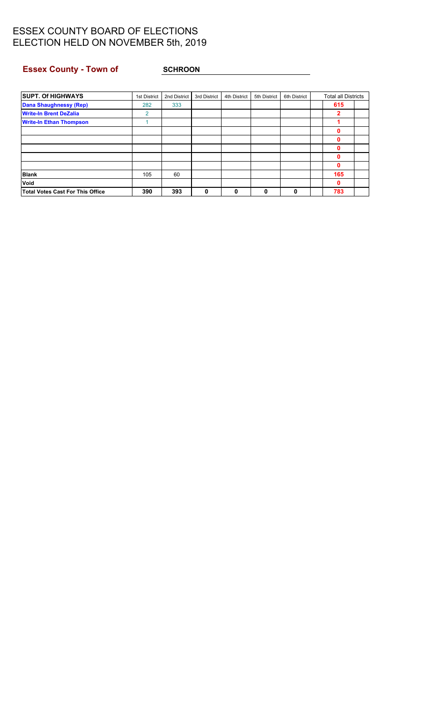## **Essex County - Town of SCHROON**

| <b>SUPT. Of HIGHWAYS</b>                | 1st District | 2nd District | 3rd District | 4th District | 5th District | 6th District | <b>Total all Districts</b> |  |
|-----------------------------------------|--------------|--------------|--------------|--------------|--------------|--------------|----------------------------|--|
| <b>Dana Shaughnessy (Rep)</b>           | 282          | 333          |              |              |              |              | 615                        |  |
| <b>Write-In Brent DeZalia</b>           | 2            |              |              |              |              |              | 2                          |  |
| <b>Write-In Ethan Thompson</b>          |              |              |              |              |              |              |                            |  |
|                                         |              |              |              |              |              |              |                            |  |
|                                         |              |              |              |              |              |              |                            |  |
|                                         |              |              |              |              |              |              | Λ                          |  |
|                                         |              |              |              |              |              |              |                            |  |
|                                         |              |              |              |              |              |              | 0                          |  |
| <b>Blank</b>                            | 105          | 60           |              |              |              |              | 165                        |  |
| Void                                    |              |              |              |              |              |              | 0                          |  |
| <b>Total Votes Cast For This Office</b> | 390          | 393          | 0            | 0            | 0            | 0            | 783                        |  |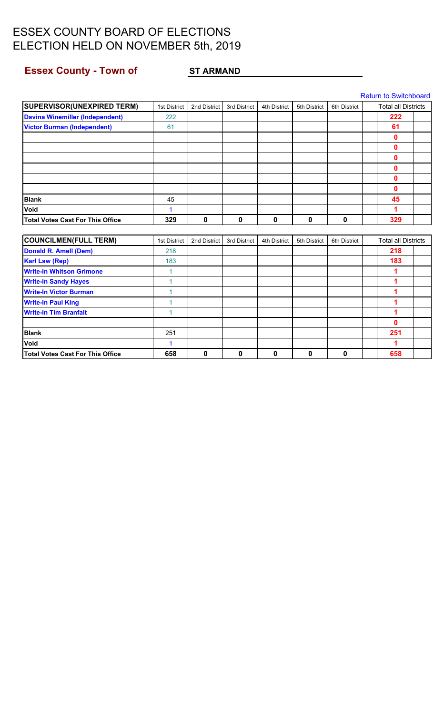# <span id="page-18-0"></span>**Essex County - Town of ST ARMAND**

|                                        |              |              |              |              |              |              | <b>Return to Switchboard</b> |  |
|----------------------------------------|--------------|--------------|--------------|--------------|--------------|--------------|------------------------------|--|
| <b>SUPERVISOR(UNEXPIRED TERM)</b>      | 1st District | 2nd District | 3rd District | 4th District | 5th District | 6th District | <b>Total all Districts</b>   |  |
| <b>Davina Winemiller (Independent)</b> | 222          |              |              |              |              |              | 222                          |  |
| <b>Victor Burman (Independent)</b>     | 61           |              |              |              |              |              | 61                           |  |
|                                        |              |              |              |              |              |              | 0                            |  |
|                                        |              |              |              |              |              |              | 0                            |  |
|                                        |              |              |              |              |              |              | 0                            |  |
|                                        |              |              |              |              |              |              | 0                            |  |
|                                        |              |              |              |              |              |              | 0                            |  |
|                                        |              |              |              |              |              |              | 0                            |  |
| <b>Blank</b>                           | 45           |              |              |              |              |              | 45                           |  |
| Void                                   | 1            |              |              |              |              |              | 1                            |  |
| Total Votes Cast For This Office       | 329          | 0            | $\mathbf 0$  | 0            | 0            | 0            | 329                          |  |
|                                        |              |              |              |              |              |              |                              |  |
| <b>COUNCILMEN(FULL TERM)</b>           | 1st District | 2nd District | 3rd District | 4th District | 5th District | 6th District | <b>Total all Districts</b>   |  |
| <b>Donald R. Amell (Dem)</b>           | 218          |              |              |              |              |              | 218                          |  |
| <b>Karl Law (Rep)</b>                  | 183          |              |              |              |              |              | 183                          |  |
| <b>Write-In Whitson Grimone</b>        | $\mathbf{1}$ |              |              |              |              |              | 1                            |  |
| <b>Write-In Sandy Hayes</b>            | 1            |              |              |              |              |              | 1                            |  |
| <b>Write-In Victor Burman</b>          | 1            |              |              |              |              |              | 1                            |  |
| <b>Write-In Paul King</b>              | 1            |              |              |              |              |              | 1                            |  |
| <b>Write-In Tim Branfalt</b>           | 1            |              |              |              |              |              | 1                            |  |
|                                        |              |              |              |              |              |              | 0                            |  |
| <b>Blank</b>                           | 251          |              |              |              |              |              | 251                          |  |
| <b>Void</b>                            | 1            |              |              |              |              |              | 1                            |  |
| Total Votes Cast For This Office       | 658          | 0            | 0            | 0            | 0            | 0            | 658                          |  |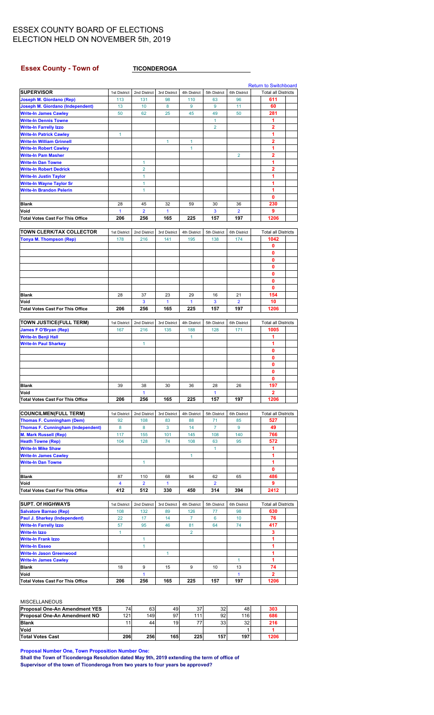#### <span id="page-19-0"></span>**Essex County - Town of TICONDEROGA**

|                                                 |                         |                     |              |                |                |                     | <b>Return to Switchboard</b> |  |
|-------------------------------------------------|-------------------------|---------------------|--------------|----------------|----------------|---------------------|------------------------------|--|
| <b>SUPERVISOR</b>                               | 1st District            | 2nd District        | 3rd District | 4th District   | 5th District   | 6th District        | <b>Total all Districts</b>   |  |
| Joseph M. Giordano (Rep)                        | 113                     | 131                 | 98           | 110            | 63             | 96                  | 611                          |  |
| <b>Joseph M. Giordano (Independent)</b>         | 13                      | 10                  | 8            | 9              | 9              | 11                  | 60                           |  |
| <b>Write-In James Cawley</b>                    | 50                      | 62                  | 25           | 45             | 49             | 50                  | 281                          |  |
| <b>Write-In Dennis Towne</b>                    |                         |                     |              |                | $\mathbf{1}$   |                     | 1                            |  |
| <b>Write-In Farrelly Izzo</b>                   |                         |                     |              |                | $\overline{2}$ |                     | $\overline{2}$               |  |
|                                                 |                         |                     |              |                |                |                     | 1                            |  |
| <b>Write-In Patrick Cawley</b>                  | 1                       |                     |              |                |                |                     |                              |  |
| <b>Write-In William Grinnell</b>                |                         |                     | 1            | 1              |                |                     | 2                            |  |
| <b>Write-In Robert Cawley</b>                   |                         |                     |              | 1              |                |                     | 1                            |  |
| <b>Write-In Pam Masher</b>                      |                         |                     |              |                |                | $\overline{2}$      | 2                            |  |
| <b>Write-In Dan Towne</b>                       |                         | 1                   |              |                |                |                     | 1                            |  |
| <b>Write-In Robert Dedrick</b>                  |                         | $\overline{2}$      |              |                |                |                     | $\overline{2}$               |  |
| <b>Write-In Justin Taylor</b>                   |                         | 1                   |              |                |                |                     | 1                            |  |
| <b>Write-In Wayne Taylor Sr</b>                 |                         | 1                   |              |                |                |                     | 1                            |  |
| <b>Write-In Brandon Pelerin</b>                 |                         | 1                   |              |                |                |                     | 1                            |  |
|                                                 |                         |                     |              |                |                |                     | 0                            |  |
| Blank                                           | 28                      | 45                  | 32           | 59             | 30             | 36                  | 230                          |  |
| Void                                            | $\mathbf{1}$            | $\overline{2}$      | $\mathbf{1}$ |                | 3              | $\overline{2}$      | 9                            |  |
| <b>Total Votes Cast For This Office</b>         | 206                     | 256                 | 165          | 225            | 157            | 197                 | 1206                         |  |
|                                                 |                         |                     |              |                |                |                     |                              |  |
|                                                 |                         |                     |              |                |                |                     |                              |  |
| <b>TOWN CLERK/TAX COLLECTOR</b>                 | 1st District            | 2nd District        | 3rd District | 4th District   | 5th District   | 6th District        | <b>Total all Districts</b>   |  |
| <b>Tonya M. Thompson (Rep)</b>                  | 178                     | 216                 | 141          | 195            | 138            | 174                 | 1042                         |  |
|                                                 |                         |                     |              |                |                |                     | 0                            |  |
|                                                 |                         |                     |              |                |                |                     | 0                            |  |
|                                                 |                         |                     |              |                |                |                     | 0                            |  |
|                                                 |                         |                     |              |                |                |                     | 0                            |  |
|                                                 |                         |                     |              |                |                |                     | 0                            |  |
|                                                 |                         |                     |              |                |                |                     | 0                            |  |
|                                                 |                         |                     |              |                |                |                     | 0                            |  |
| Blank                                           | 28                      | 37                  | 23           | 29             | 16             | 21                  | 154                          |  |
| Void                                            |                         | 3                   | 1            | $\mathbf{1}$   | 3              | $\overline{2}$      | 10                           |  |
|                                                 |                         |                     |              |                |                |                     |                              |  |
| <b>Total Votes Cast For This Office</b>         | 206                     | 256                 | 165          | 225            | 157            | 197                 | 1206                         |  |
|                                                 |                         |                     |              |                |                |                     |                              |  |
| TOWN JUSTICE(FULL TERM)                         | 1st District            | 2nd District        | 3rd District | 4th District   | 5th District   | 6th District        | <b>Total all Districts</b>   |  |
| <b>James F O'Bryan (Rep)</b>                    | 167                     | 216                 | 135          | 188            | 128            | 171                 | 1005                         |  |
| Write-In Benji Hall                             |                         |                     |              | 1              |                |                     | 1                            |  |
| <b>Write-In Paul Sharkey</b>                    |                         | 1                   |              |                |                |                     | 1                            |  |
|                                                 |                         |                     |              |                |                |                     | 0                            |  |
|                                                 |                         |                     |              |                |                |                     |                              |  |
|                                                 |                         |                     |              |                |                |                     | 0                            |  |
|                                                 |                         |                     |              |                |                |                     |                              |  |
|                                                 |                         |                     |              |                |                |                     | 0                            |  |
|                                                 |                         |                     |              |                |                |                     | 0                            |  |
|                                                 |                         |                     |              |                |                |                     | 0                            |  |
| Blank                                           | 39                      | 38                  | 30           | 36             | 28             | 26                  | 197                          |  |
| Void                                            |                         | 1                   |              |                | 1              |                     | $\overline{\mathbf{2}}$      |  |
| <b>Total Votes Cast For This Office</b>         | 206                     | 256                 | 165          | 225            | 157            | 197                 | 1206                         |  |
|                                                 |                         |                     |              |                |                |                     |                              |  |
| <b>COUNCILMEN(FULL TERM)</b>                    | 1st District            | 2nd District        | 3rd District | 4th District   | 5th District   | 6th District        | <b>Total all Districts</b>   |  |
| <b>Thomas F. Cunningham (Dem)</b>               | 92                      | 108                 | 83           | 88             | 71             | 85                  | 527                          |  |
| <b>Thomas F. Cunningham (Independent)</b>       | 8                       | 8                   | 3            | 14             | $\overline{7}$ | 9                   | 49                           |  |
| <b>M. Mark Russell (Rep)</b>                    | 117                     | 155                 | 101          | 145            | 108            | 140                 | 766                          |  |
| <b>Heath Towne (Rep)</b>                        | 104                     | 128                 | 74           | 108            | 63             | 95                  | 572                          |  |
| <b>Write-In Mike Shaw</b>                       |                         |                     |              |                | $\mathbf{1}$   |                     | 1                            |  |
|                                                 |                         |                     |              |                |                |                     |                              |  |
| <b>Write-In James Cawley</b>                    |                         |                     |              | 1              |                |                     | 1                            |  |
| <b>Write-In Dan Towne</b>                       |                         | 1                   |              |                |                |                     | 1                            |  |
|                                                 |                         |                     |              |                |                |                     | 0                            |  |
| Blank                                           | 87                      | 110                 | 68           | 94             | 62             | 65                  | 486                          |  |
| Void                                            | $\overline{\mathbf{4}}$ | $\overline{2}$      | $\mathbf{1}$ |                | $\overline{2}$ |                     | 9                            |  |
| <b>Total Votes Cast For This Office</b>         | 412                     | 512                 | 330          | 450            | 314            | 394                 | 2412                         |  |
|                                                 |                         |                     |              |                |                |                     |                              |  |
| <b>SUPT. Of HIGHWAYS</b>                        | 1st District            | 2nd District        | 3rd District | 4th District   | 5th District   | 6th District        | <b>Total all Districts</b>   |  |
| <b>Salvatore Barnao (Rep)</b>                   | 108                     | 132                 | 89           | 126            | 77             | 98                  | 630                          |  |
| Paul J. Sharkey (Independent)                   | 22                      | 17                  | 14           | $\overline{7}$ | 6              | 10                  | 76                           |  |
| <b>Write-In Farrelly Izzo</b>                   | 57                      | 95                  | 46           | 81             | 64             | 74                  | 417                          |  |
| Write-In Izzo                                   | $\mathbf{1}$            |                     |              | $\overline{2}$ |                |                     | 3                            |  |
|                                                 |                         |                     |              |                |                |                     |                              |  |
| <b>Write-In Frank Izzo</b>                      |                         | 1                   |              |                |                |                     | 1                            |  |
| <b>Write-In Esseo</b>                           |                         | 1                   |              |                |                |                     | 1                            |  |
| <b>Write-In Jason Greenwood</b>                 |                         |                     | $\mathbf{1}$ |                |                |                     | 1                            |  |
| <b>Write-In James Cawley</b>                    |                         |                     |              |                |                | $\mathbf{1}$        | 1                            |  |
| Blank                                           | 18                      | 9                   | 15           | 9              | 10             | 13                  | 74                           |  |
| Void<br><b>Total Votes Cast For This Office</b> | 206                     | $\mathbf{1}$<br>256 | 165          | 225            | 157            | $\mathbf{1}$<br>197 | $\overline{2}$<br>1206       |  |

#### MISCELLANEOUS

| <b>Proposal One-An Amendment YES</b> | 741 | 63   | 49  | 37 <sup>l</sup> | 32  | 48  | 303  |  |
|--------------------------------------|-----|------|-----|-----------------|-----|-----|------|--|
| <b>Proposal One-An Amendment NO</b>  | 121 | 1491 | 97  | 111             | 92  | 116 | 686  |  |
| <b>Blank</b>                         |     | 44   | 19  | 77              | 33  | 32  | 216  |  |
| <b>Void</b>                          |     |      |     |                 |     |     |      |  |
| <b>Total Votes Cast</b>              | 206 | 256  | 165 | 225             | 157 | 197 | 1206 |  |

**Proposal Number One, Town Proposition Number One:**

**Shall the Town of Ticonderoga Resolution dated May 9th, 2019 extending the term of office of Supervisor of the town of Ticonderoga from two years to four years be approved?**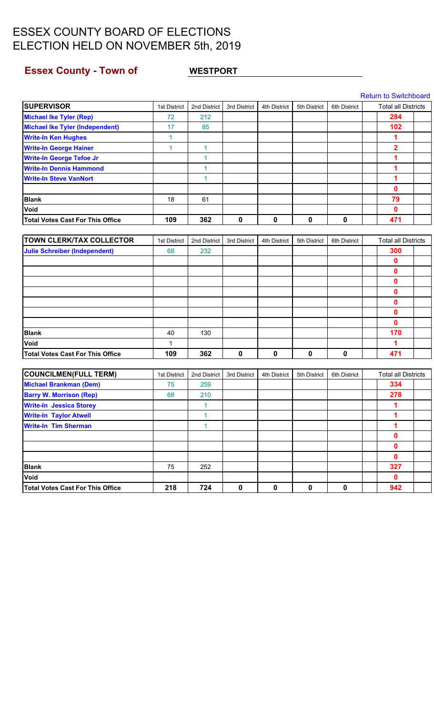## <span id="page-20-0"></span>**Essex County - Town of WESTPORT**

|                                         |              |              |              |              |              |              | <b>Return to Switchboard</b> |  |
|-----------------------------------------|--------------|--------------|--------------|--------------|--------------|--------------|------------------------------|--|
| <b>SUPERVISOR</b>                       | 1st District | 2nd District | 3rd District | 4th District | 5th District | 6th District | <b>Total all Districts</b>   |  |
| <b>Michael Ike Tyler (Rep)</b>          | 72           | 212          |              |              |              |              | 284                          |  |
| <b>Michael Ike Tyler (Independent)</b>  | 17           | 85           |              |              |              |              | 102                          |  |
| <b>Write-In Ken Hughes</b>              | 1            |              |              |              |              |              | 1                            |  |
| <b>Write-In George Hainer</b>           | 1            | $\mathbf{1}$ |              |              |              |              | $\overline{\mathbf{2}}$      |  |
| <b>Write-In George Tefoe Jr</b>         |              | $\mathbf{1}$ |              |              |              |              | 1                            |  |
| <b>Write-In Dennis Hammond</b>          |              | 1            |              |              |              |              | 1                            |  |
| <b>Write-In Steve VanNort</b>           |              | 1            |              |              |              |              | 1                            |  |
|                                         |              |              |              |              |              |              | 0                            |  |
| <b>Blank</b>                            | 18           | 61           |              |              |              |              | 79                           |  |
| Void                                    |              |              |              |              |              |              | 0                            |  |
| <b>Total Votes Cast For This Office</b> | 109          | 362          | $\mathbf 0$  | 0            | $\mathbf 0$  | 0            | 471                          |  |
|                                         |              |              |              |              |              |              |                              |  |
| <b>TOWN CLERK/TAX COLLECTOR</b>         | 1st District | 2nd District | 3rd District | 4th District | 5th District | 6th District | <b>Total all Districts</b>   |  |
| <b>Julie Schreiber (Independent)</b>    | 68           | 232          |              |              |              |              | 300                          |  |
|                                         |              |              |              |              |              |              | 0                            |  |
|                                         |              |              |              |              |              |              | 0                            |  |
|                                         |              |              |              |              |              |              | 0                            |  |
|                                         |              |              |              |              |              |              | 0                            |  |
|                                         |              |              |              |              |              |              | 0                            |  |
|                                         |              |              |              |              |              |              | 0                            |  |
|                                         |              |              |              |              |              |              | 0                            |  |
| <b>Blank</b>                            | 40           | 130          |              |              |              |              | 170                          |  |
| Void                                    | 1            |              |              |              |              |              | 1                            |  |
| <b>Total Votes Cast For This Office</b> | 109          | 362          | $\mathbf 0$  | 0            | 0            | 0            | 471                          |  |
|                                         |              |              |              |              |              |              |                              |  |
| <b>COUNCILMEN(FULL TERM)</b>            | 1st District | 2nd District | 3rd District | 4th District | 5th District | 6th District | <b>Total all Districts</b>   |  |
| <b>Michael Brankman (Dem)</b>           | 75           | 259          |              |              |              |              | 334                          |  |
| <b>Barry W. Morrison (Rep)</b>          | 68           | 210          |              |              |              |              | 278                          |  |
| <b>Write-In Jessica Storey</b>          |              | 1            |              |              |              |              | 1                            |  |
| <b>Write-In Taylor Atwell</b>           |              | $\mathbf{1}$ |              |              |              |              | 1                            |  |
| <b>Write-In Tim Sherman</b>             |              | $\mathbf{1}$ |              |              |              |              | 1                            |  |
|                                         |              |              |              |              |              |              | 0                            |  |
|                                         |              |              |              |              |              |              | 0                            |  |
|                                         |              |              |              |              |              |              | 0                            |  |
| <b>Blank</b>                            | 75           | 252          |              |              |              |              | 327                          |  |
| Void                                    |              |              |              |              |              |              | 0                            |  |
| <b>Total Votes Cast For This Office</b> | 218          | 724          | $\pmb{0}$    | $\pmb{0}$    | $\pmb{0}$    | 0            | 942                          |  |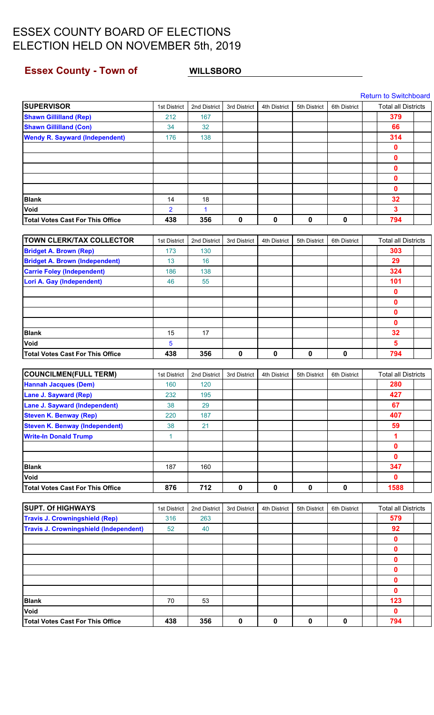### <span id="page-21-0"></span>**Essex County - Town of WILLSBORO**

|                                               |                |              |              |              |              |              | <b>Return to Switchboard</b> |  |
|-----------------------------------------------|----------------|--------------|--------------|--------------|--------------|--------------|------------------------------|--|
| <b>SUPERVISOR</b>                             | 1st District   | 2nd District | 3rd District | 4th District | 5th District | 6th District | <b>Total all Districts</b>   |  |
| <b>Shawn Gillilland (Rep)</b>                 | 212            | 167          |              |              |              |              | 379                          |  |
| <b>Shawn Gillilland (Con)</b>                 | 34             | 32           |              |              |              |              | 66                           |  |
| <b>Wendy R. Sayward (Independent)</b>         | 176            | 138          |              |              |              |              | 314                          |  |
|                                               |                |              |              |              |              |              | $\mathbf 0$                  |  |
|                                               |                |              |              |              |              |              | 0                            |  |
|                                               |                |              |              |              |              |              | $\bf{0}$                     |  |
|                                               |                |              |              |              |              |              | $\bf{0}$                     |  |
|                                               |                |              |              |              |              |              | $\bf{0}$                     |  |
| <b>Blank</b>                                  | 14             | 18           |              |              |              |              | 32                           |  |
| Void                                          | $\overline{2}$ | 1            |              |              |              |              | $\mathbf{3}$                 |  |
| <b>Total Votes Cast For This Office</b>       | 438            | 356          | 0            | $\pmb{0}$    | $\mathbf 0$  | $\pmb{0}$    | 794                          |  |
|                                               |                |              |              |              |              |              |                              |  |
| <b>TOWN CLERK/TAX COLLECTOR</b>               | 1st District   | 2nd District | 3rd District | 4th District | 5th District | 6th District | <b>Total all Districts</b>   |  |
| <b>Bridget A. Brown (Rep)</b>                 | 173            | 130          |              |              |              |              | 303                          |  |
| <b>Bridget A. Brown (Independent)</b>         | 13             | 16           |              |              |              |              | 29                           |  |
| <b>Carrie Foley (Independent)</b>             | 186            | 138          |              |              |              |              | 324                          |  |
| <b>Lori A. Gay (Independent)</b>              | 46             | 55           |              |              |              |              | 101                          |  |
|                                               |                |              |              |              |              |              | $\mathbf 0$                  |  |
|                                               |                |              |              |              |              |              | 0                            |  |
|                                               |                |              |              |              |              |              | 0                            |  |
|                                               |                |              |              |              |              |              | $\bf{0}$                     |  |
| <b>Blank</b>                                  | 15             | 17           |              |              |              |              | 32                           |  |
| Void                                          | 5              |              |              |              |              |              | $\overline{\mathbf{5}}$      |  |
| <b>Total Votes Cast For This Office</b>       | 438            | 356          | $\mathbf 0$  | $\mathbf 0$  | 0            | $\mathbf 0$  | 794                          |  |
|                                               |                |              |              |              |              |              |                              |  |
| <b>COUNCILMEN(FULL TERM)</b>                  | 1st District   | 2nd District | 3rd District | 4th District | 5th District | 6th District | <b>Total all Districts</b>   |  |
| <b>Hannah Jacques (Dem)</b>                   | 160            | 120          |              |              |              |              | 280                          |  |
| <b>Lane J. Sayward (Rep)</b>                  | 232            | 195          |              |              |              |              | 427                          |  |
| <b>Lane J. Sayward (Independent)</b>          | 38             | 29           |              |              |              |              | 67                           |  |
| <b>Steven K. Benway (Rep)</b>                 | 220            | 187          |              |              |              |              | 407                          |  |
| <b>Steven K. Benway (Independent)</b>         | 38             | 21           |              |              |              |              | 59                           |  |
| <b>Write-In Donald Trump</b>                  | $\mathbf{1}$   |              |              |              |              |              | 1                            |  |
|                                               |                |              |              |              |              |              | 0                            |  |
|                                               |                |              |              |              |              |              | $\mathbf{0}$                 |  |
| <b>Blank</b>                                  | 187            | 160          |              |              |              |              | 347                          |  |
| Void                                          |                |              |              |              |              |              | $\mathbf{0}$                 |  |
| <b>Total Votes Cast For This Office</b>       | 876            | 712          | $\mathbf 0$  | $\pmb{0}$    | $\mathbf 0$  | $\pmb{0}$    | 1588                         |  |
|                                               |                |              |              |              |              |              |                              |  |
| <b>SUPT. Of HIGHWAYS</b>                      | 1st District   | 2nd District | 3rd District | 4th District | 5th District | 6th District | <b>Total all Districts</b>   |  |
| <b>Travis J. Crowningshield (Rep)</b>         | 316            | 263          |              |              |              |              | 579                          |  |
| <b>Travis J. Crowningshield (Independent)</b> | 52             | 40           |              |              |              |              | 92                           |  |
|                                               |                |              |              |              |              |              | $\mathbf 0$                  |  |
|                                               |                |              |              |              |              |              | $\mathbf 0$                  |  |
|                                               |                |              |              |              |              |              | $\mathbf 0$                  |  |
|                                               |                |              |              |              |              |              | 0                            |  |
|                                               |                |              |              |              |              |              | 0                            |  |
|                                               |                |              |              |              |              |              | 0                            |  |
| <b>Blank</b>                                  | 70             | 53           |              |              |              |              | 123                          |  |
| Void                                          |                |              |              |              |              |              | $\mathbf 0$                  |  |
| <b>Total Votes Cast For This Office</b>       | 438            | 356          | $\mathbf 0$  | $\mathbf 0$  | $\pmb{0}$    | $\pmb{0}$    | 794                          |  |